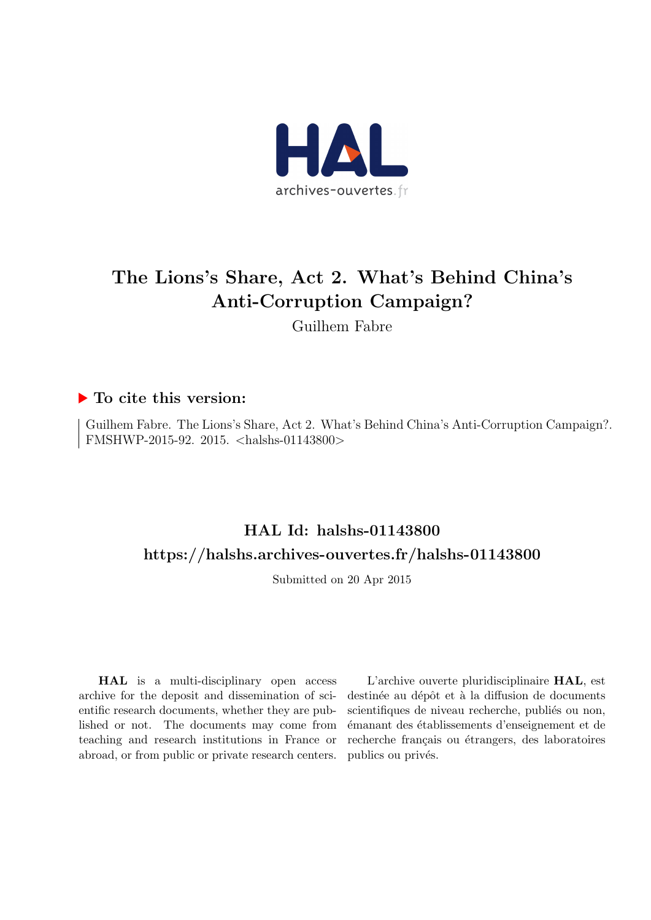

## The Lions's Share, Act 2. What's Behind China's Anti-Corruption Campaign?

Guilhem Fabre

#### ▶ To cite this version:

Guilhem Fabre. The Lions's Share, Act 2. What's Behind China's Anti-Corruption Campaign?. FMSHWP-2015-92. 2015. <halshs-01143800>

## HAL Id: halshs-01143800 <https://halshs.archives-ouvertes.fr/halshs-01143800>

Submitted on 20 Apr 2015

HAL is a multi-disciplinary open access archive for the deposit and dissemination of scientific research documents, whether they are published or not. The documents may come from teaching and research institutions in France or abroad, or from public or private research centers.

L'archive ouverte pluridisciplinaire HAL, est destinée au dépôt et à la diffusion de documents scientifiques de niveau recherche, publiés ou non, ´emanant des ´etablissements d'enseignement et de recherche français ou étrangers, des laboratoires publics ou privés.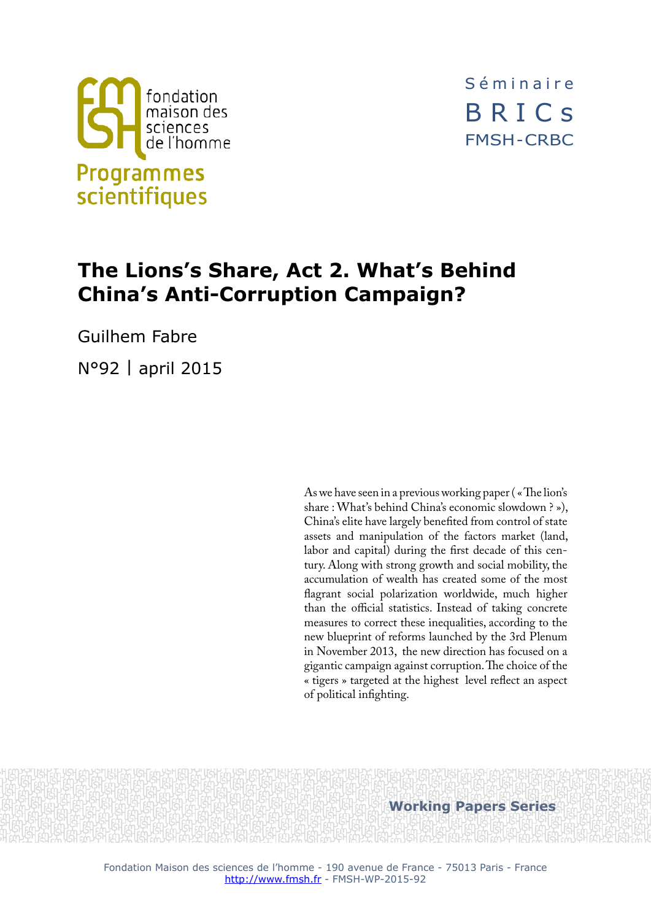

Séminaire BRICs FMSH - CRBC

# **The Lions's Share, Act 2. What's Behind China's Anti-Corruption Campaign?**

Guilhem Fabre

N°92 | april 2015

As we have seen in a previous working paper ( « The lion's share : What's behind China's economic slowdown ? »), China's elite have largely benefited from control of state assets and manipulation of the factors market (land, labor and capital) during the first decade of this century. Along with strong growth and social mobility, the accumulation of wealth has created some of the most flagrant social polarization worldwide, much higher than the official statistics. Instead of taking concrete measures to correct these inequalities, according to the new blueprint of reforms launched by the 3rd Plenum in November 2013, the new direction has focused on a gigantic campaign against corruption. The choice of the « tigers » targeted at the highest level reflect an aspect of political infighting.

**Working Papers Series**

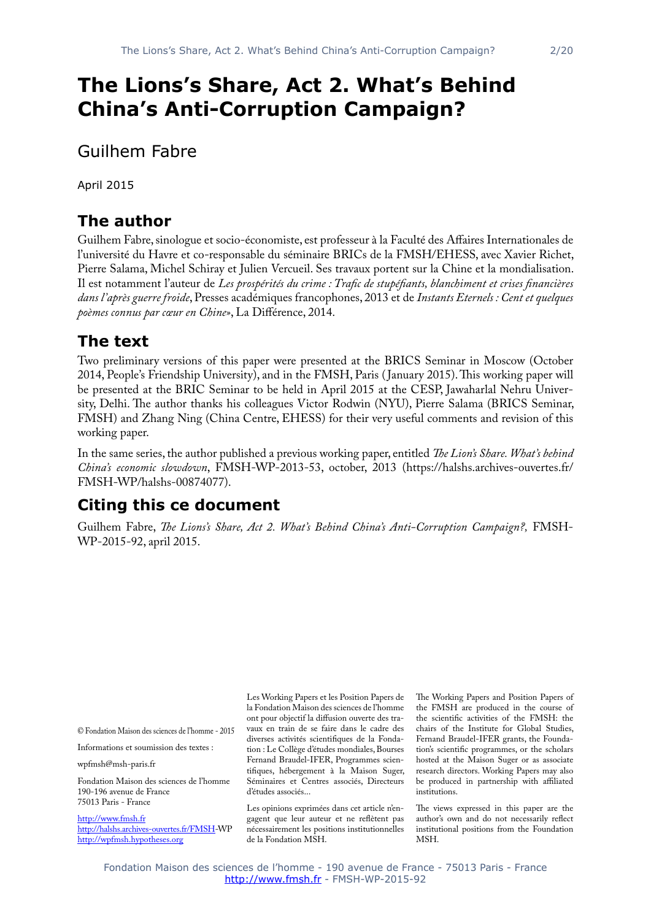# **The Lions's Share, Act 2. What's Behind China's Anti-Corruption Campaign?**

Guilhem Fabre

April 2015

## **The author**

Guilhem Fabre, sinologue et socio-économiste, est professeur à la Faculté des Affaires Internationales de l'université du Havre et co-responsable du séminaire BRICs de la FMSH/EHESS, avec Xavier Richet, Pierre Salama, Michel Schiray et Julien Vercueil. Ses travaux portent sur la Chine et la mondialisation. Il est notamment l'auteur de *Les prospérités du crime : Trafic de stupéfiants, blanchiment et crises financières dans l'après guerre froide*, Presses académiques francophones, 2013 et de *Instants Eternels : Cent et quelques poèmes connus par cœur en Chine»*, La Différence, 2014.

## **The text**

Two preliminary versions of this paper were presented at the BRICS Seminar in Moscow (October 2014, People's Friendship University), and in the FMSH, Paris ( January 2015). This working paper will be presented at the BRIC Seminar to be held in April 2015 at the CESP, Jawaharlal Nehru University, Delhi. The author thanks his colleagues Victor Rodwin (NYU), Pierre Salama (BRICS Seminar, FMSH) and Zhang Ning (China Centre, EHESS) for their very useful comments and revision of this working paper.

In the same series, the author published a previous working paper, entitled *The Lion's Share. What's behind China's economic slowdown*, FMSH-WP-2013-53, october, 2013 ([https://halshs.archives-ouvertes.fr/](https://halshs.archives-ouvertes.fr/FMSH-WP/halshs-00874077) [FMSH-WP/halshs-00874077](https://halshs.archives-ouvertes.fr/FMSH-WP/halshs-00874077)).

## **Citing this ce document**

Guilhem Fabre, *The Lions's Share, Act 2. What's Behind China's Anti-Corruption Campaign?,* FMSH-WP-2015-92, april 2015.

© Fondation Maison des sciences de l'homme - 2015

Informations et soumission des textes :

wpfmsh@msh-paris.fr

Fondation Maison des sciences de l'homme 190-196 avenue de France 75013 Paris - France

<http://www.fmsh.fr> [http://halshs.archives-ouvertes.fr/FMSH-](http://halshs.archives-ouvertes.fr/FMSH)WP <http://wpfmsh.hypotheses.org>

Les Working Papers et les Position Papers de la Fondation Maison des sciences de l'homme ont pour objectif la diffusion ouverte des travaux en train de se faire dans le cadre des diverses activités scientifiques de la Fondation : Le Collège d'études mondiales, Bourses Fernand Braudel-IFER, Programmes scientifiques, hébergement à la Maison Suger, Séminaires et Centres associés, Directeurs d'études associés...

Les opinions exprimées dans cet article n'engagent que leur auteur et ne reflètent pas nécessairement les positions institutionnelles de la Fondation MSH.

The Working Papers and Position Papers of the FMSH are produced in the course of the scientific activities of the FMSH: the chairs of the Institute for Global Studies, Fernand Braudel-IFER grants, the Foundation's scientific programmes, or the scholars hosted at the Maison Suger or as associate research directors. Working Papers may also be produced in partnership with affiliated institutions.

The views expressed in this paper are the author's own and do not necessarily reflect institutional positions from the Foundation MSH.

Fondation Maison des sciences de l'homme - 190 avenue de France - 75013 Paris - France <http://www.fmsh.fr>- FMSH-WP-2015-92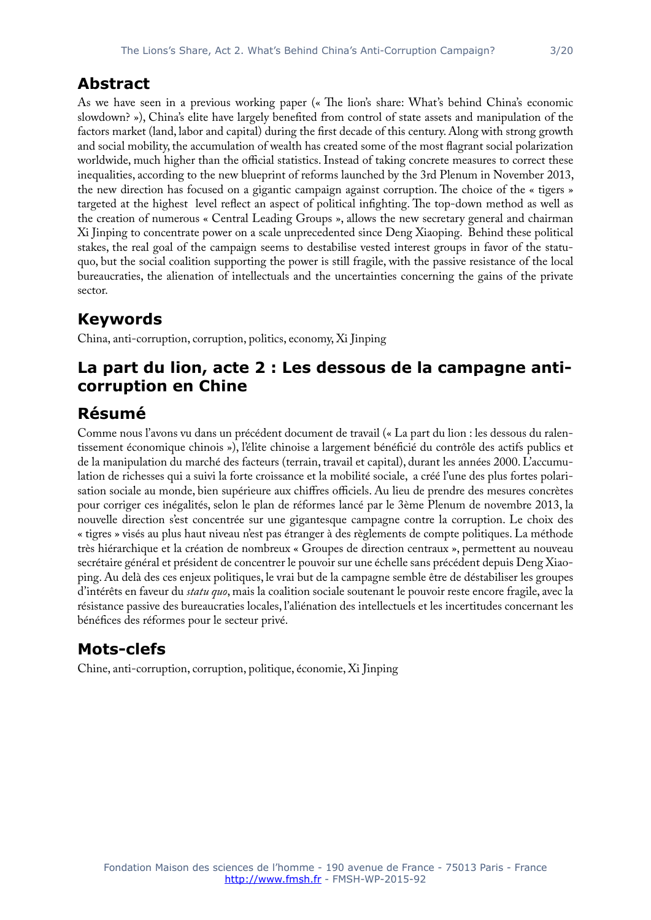#### **Abstract**

As we have seen in a previous working paper (« The lion's share: What's behind China's economic slowdown? »), China's elite have largely benefited from control of state assets and manipulation of the factors market (land, labor and capital) during the first decade of this century. Along with strong growth and social mobility, the accumulation of wealth has created some of the most flagrant social polarization worldwide, much higher than the official statistics. Instead of taking concrete measures to correct these inequalities, according to the new blueprint of reforms launched by the 3rd Plenum in November 2013, the new direction has focused on a gigantic campaign against corruption. The choice of the « tigers » targeted at the highest level reflect an aspect of political infighting. The top-down method as well as the creation of numerous « Central Leading Groups », allows the new secretary general and chairman Xi Jinping to concentrate power on a scale unprecedented since Deng Xiaoping. Behind these political stakes, the real goal of the campaign seems to destabilise vested interest groups in favor of the statuquo, but the social coalition supporting the power is still fragile, with the passive resistance of the local bureaucraties, the alienation of intellectuals and the uncertainties concerning the gains of the private sector.

## **Keywords**

China, anti-corruption, corruption, politics, economy, Xi Jinping

### **La part du lion, acte 2 : Les dessous de la campagne anticorruption en Chine**

## **Résumé**

Comme nous l'avons vu dans un précédent document de travail (« La part du lion : les dessous du ralentissement économique chinois »), l'élite chinoise a largement bénéficié du contrôle des actifs publics et de la manipulation du marché des facteurs (terrain, travail et capital), durant les années 2000. L'accumulation de richesses qui a suivi la forte croissance et la mobilité sociale, a créé l'une des plus fortes polarisation sociale au monde, bien supérieure aux chiffres officiels. Au lieu de prendre des mesures concrètes pour corriger ces inégalités, selon le plan de réformes lancé par le 3ème Plenum de novembre 2013, la nouvelle direction s'est concentrée sur une gigantesque campagne contre la corruption. Le choix des « tigres » visés au plus haut niveau n'est pas étranger à des règlements de compte politiques. La méthode très hiérarchique et la création de nombreux « Groupes de direction centraux », permettent au nouveau secrétaire général et président de concentrer le pouvoir sur une échelle sans précédent depuis Deng Xiaoping. Au delà des ces enjeux politiques, le vrai but de la campagne semble être de déstabiliser les groupes d'intérêts en faveur du *statu quo*, mais la coalition sociale soutenant le pouvoir reste encore fragile, avec la résistance passive des bureaucraties locales, l'aliénation des intellectuels et les incertitudes concernant les bénéfices des réformes pour le secteur privé.

## **Mots-clefs**

Chine, anti-corruption, corruption, politique, économie, Xi Jinping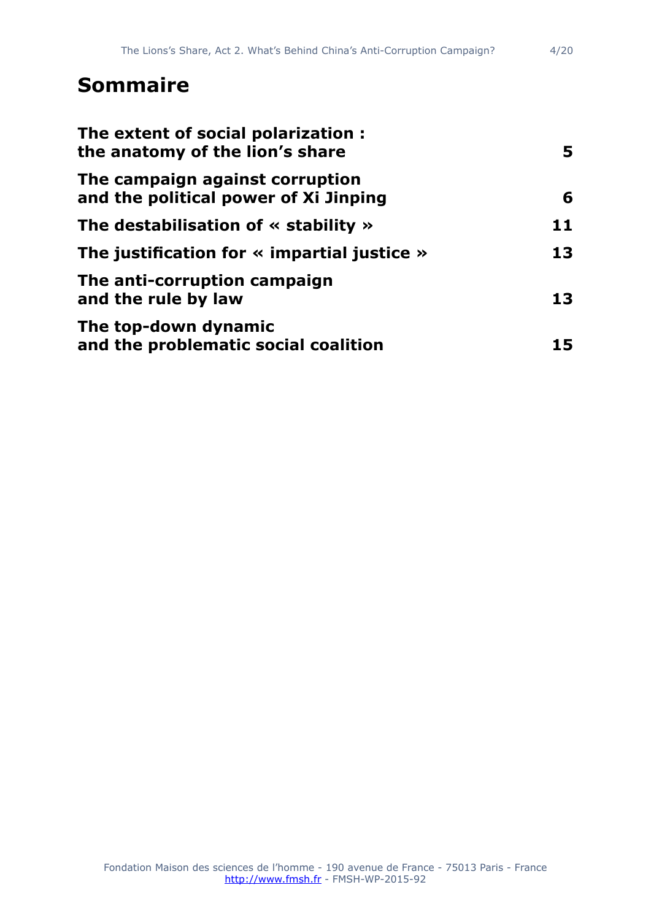# **Sommaire**

| The extent of social polarization:<br>the anatomy of the lion's share<br>The campaign against corruption<br>and the political power of Xi Jinping | 5.<br>6 |
|---------------------------------------------------------------------------------------------------------------------------------------------------|---------|
|                                                                                                                                                   |         |
| The justification for $\ll$ impartial justice $\gg$                                                                                               | 13      |
| The anti-corruption campaign<br>and the rule by law                                                                                               | 13      |
| The top-down dynamic<br>and the problematic social coalition                                                                                      | 15      |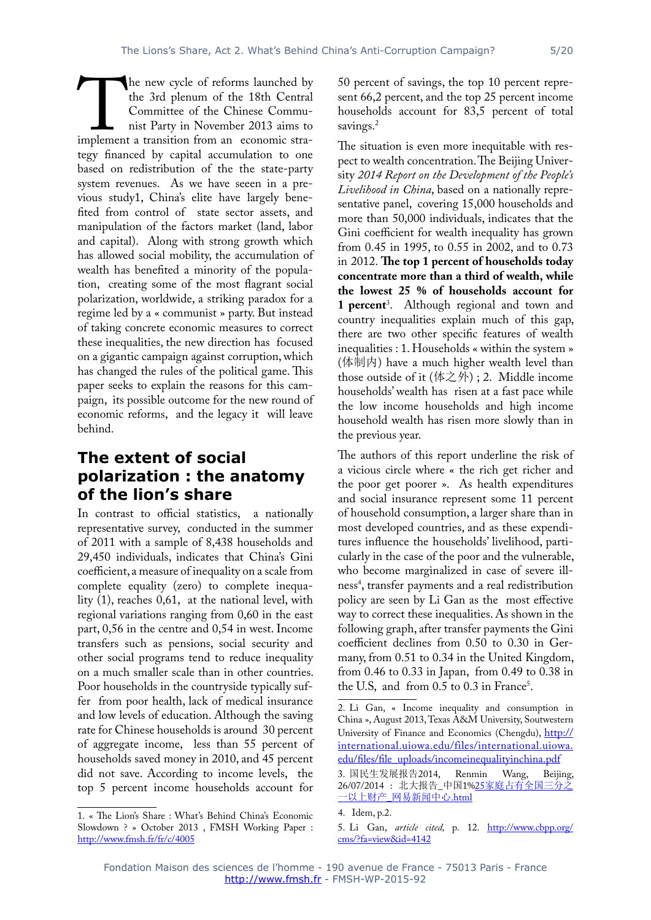the 3rd plenum of the 18th Central 50 percent of savings, the top 10 percent represent 66,2 percent, and the top 25 percent income households account for 83,5 percent of total savings.<sup>2</sup>

The new cycle of reforms launched by<br>the 3rd plenum of the 18th Central<br>Committee of the Chinese Commu-<br>nist Party in November 2013 aims to<br>implement a transition from an economic stra-<br>tegy financed by capital accumulatio Committee of the Chinese Communist Party in November 2013 aims to implement a transition from an economic strategy financed by capital accumulation to one based on redistribution of the the state-party system revenues. As we have seeen in a previous study1, China's elite have largely benefited from control of state sector assets, and manipulation of the factors market (land, labor and capital). Along with strong growth which has allowed social mobility, the accumulation of wealth has benefited a minority of the population, creating some of the most flagrant social polarization, worldwide, a striking paradox for a regime led by a « communist » party. But instead of taking concrete economic measures to correct these inequalities, the new direction has focused on a gigantic campaign against corruption, which has changed the rules of the political game. This paper seeks to explain the reasons for this campaign, its possible outcome for the new round of economic reforms, and the legacy it will leave behind.

#### **The extent of social polarization : the anatomy of the lion's share**

In contrast to official statistics, a nationally representative survey, conducted in the summer of 2011 with a sample of 8,438 households and 29,450 individuals, indicates that China's Gini coefficient, a measure of inequality on a scale from complete equality (zero) to complete inequality (1), reaches 0,61, at the national level, with regional variations ranging from 0,60 in the east part, 0,56 in the centre and 0,54 in west. Income transfers such as pensions, social security and other social programs tend to reduce inequality on a much smaller scale than in other countries. Poor households in the countryside typically suffer from poor health, lack of medical insurance and low levels of education. Although the saving rate for Chinese households is around 30 percent of aggregate income, less than 55 percent of households saved money in 2010, and 45 percent did not save. According to income levels, the top 5 percent income households account for

1. « The Lion's Share : What's Behind China's Economic Slowdown ? » October 2013, FMSH Working Paper : <http://www.fmsh.fr/fr/c/4005>

The situation is even more inequitable with respect to wealth concentration. The Beijing University *2014 Report on the Development of the People's Livelihood in China*, based on a nationally representative panel, covering 15,000 households and more than 50,000 individuals, indicates that the Gini coefficient for wealth inequality has grown from 0.45 in 1995, to 0.55 in 2002, and to 0.73 in 2012. **The top 1 percent of households today concentrate more than a third of wealth, while the lowest 25 % of households account for 1 percent**<sup>3</sup> . Although regional and town and country inequalities explain much of this gap, there are two other specific features of wealth inequalities : 1. Households « within the system » (体制内) have a much higher wealth level than those outside of it (体之外) ; 2. Middle income households' wealth has risen at a fast pace while the low income households and high income household wealth has risen more slowly than in the previous year.

The authors of this report underline the risk of a vicious circle where « the rich get richer and the poor get poorer ». As health expenditures and social insurance represent some 11 percent of household consumption, a larger share than in most developed countries, and as these expenditures influence the households' livelihood, particularly in the case of the poor and the vulnerable, who become marginalized in case of severe illness4 , transfer payments and a real redistribution policy are seen by Li Gan as the most effective way to correct these inequalities. As shown in the following graph, after transfer payments the Gini coefficient declines from 0.50 to 0.30 in Germany, from 0.51 to 0.34 in the United Kingdom, from 0.46 to 0.33 in Japan, from 0.49 to 0.38 in the U.S, and from  $0.5$  to  $0.3$  in France<sup>5</sup>.

<sup>2.</sup> Li Gan, « Income inequality and consumption in China », August 2013, Texas A&M University, Soutwestern University of Finance and Economics (Chengdu), [http://](http://international.uiowa.edu/files/international.uiowa.edu/files/file_uploads/incomeinequalityinchina.pdf) [international.uiowa.edu/files/international.uiowa.](http://international.uiowa.edu/files/international.uiowa.edu/files/file_uploads/incomeinequalityinchina.pdf) [edu/files/file\\_uploads/incomeinequalityinchina.pdf](http://international.uiowa.edu/files/international.uiowa.edu/files/file_uploads/incomeinequalityinchina.pdf)

<sup>3.</sup> 国民生发展报告2014, Renmin Wang, Beijing, 26/07/2014 : 北大报告\_中国1%25[家庭占有全国三分之](25<5BB6><5EAD><5360><6709><5168><56FD><4E09><5206><4E4B><4E00><4EE5><4E0A><8D22><4EA7>_<7F51><6613><65B0><95FB><4E2D><5FC3>.html) 一以上财产\_[网易新闻中心](25<5BB6><5EAD><5360><6709><5168><56FD><4E09><5206><4E4B><4E00><4EE5><4E0A><8D22><4EA7>_<7F51><6613><65B0><95FB><4E2D><5FC3>.html).html

<sup>4.</sup> Idem, p.2.

<sup>5.</sup> Li Gan, *article cited,* p. 12. [http://www.cbpp.org/](http://www.cbpp.org/cms/?fa=view&id=4142) [cms/?fa=view&id=4142](http://www.cbpp.org/cms/?fa=view&id=4142)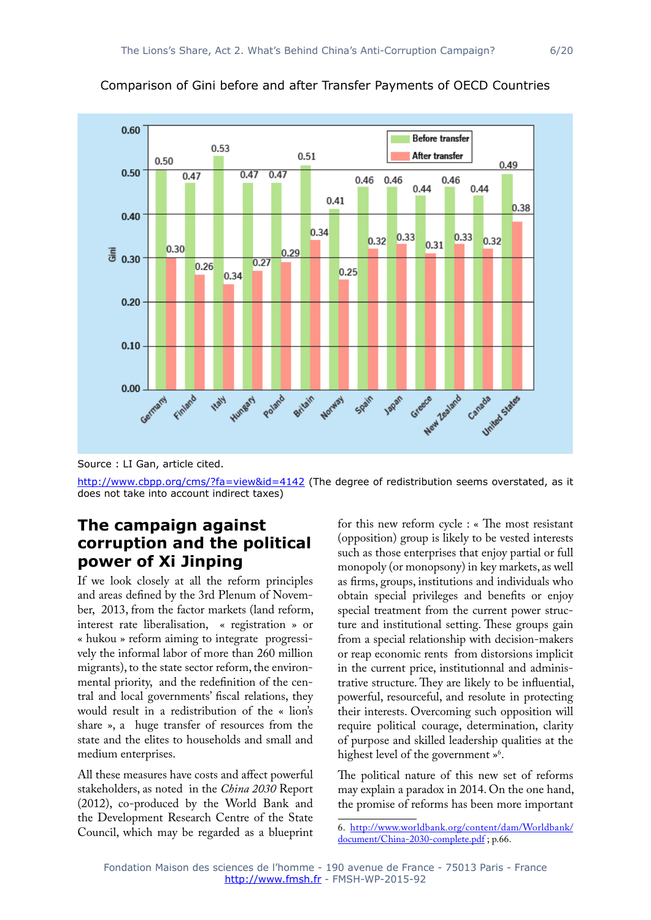



Source : LI Gan, article cited.

<http://www.cbpp.org/cms/?fa=view&id=4142>(The degree of redistribution seems overstated, as it does not take into account indirect taxes)

#### **The campaign against corruption and the political power of Xi Jinping**

If we look closely at all the reform principles and areas defined by the 3rd Plenum of November, 2013, from the factor markets (land reform, interest rate liberalisation, « registration » or « hukou » reform aiming to integrate progressively the informal labor of more than 260 million migrants), to the state sector reform, the environmental priority, and the redefinition of the central and local governments' fiscal relations, they would result in a redistribution of the « lion's share », a huge transfer of resources from the state and the elites to households and small and medium enterprises.

All these measures have costs and affect powerful stakeholders, as noted in the *China 2030* Report (2012), co-produced by the World Bank and the Development Research Centre of the State Council, which may be regarded as a blueprint for this new reform cycle : « The most resistant (opposition) group is likely to be vested interests such as those enterprises that enjoy partial or full monopoly (or monopsony) in key markets, as well as firms, groups, institutions and individuals who obtain special privileges and benefits or enjoy special treatment from the current power structure and institutional setting. These groups gain from a special relationship with decision-makers or reap economic rents from distorsions implicit in the current price, institutionnal and administrative structure. They are likely to be influential, powerful, resourceful, and resolute in protecting their interests. Overcoming such opposition will require political courage, determination, clarity of purpose and skilled leadership qualities at the highest level of the government »<sup>6</sup>.

The political nature of this new set of reforms may explain a paradox in 2014. On the one hand, the promise of reforms has been more important

<sup>6.</sup> [http://www.worldbank.org/content/dam/Worldbank/](http://www.worldbank.org/content/dam/Worldbank/document/China-2030-complete.pdf) [document/China-2030-complete.pdf](http://www.worldbank.org/content/dam/Worldbank/document/China-2030-complete.pdf) ; p.66.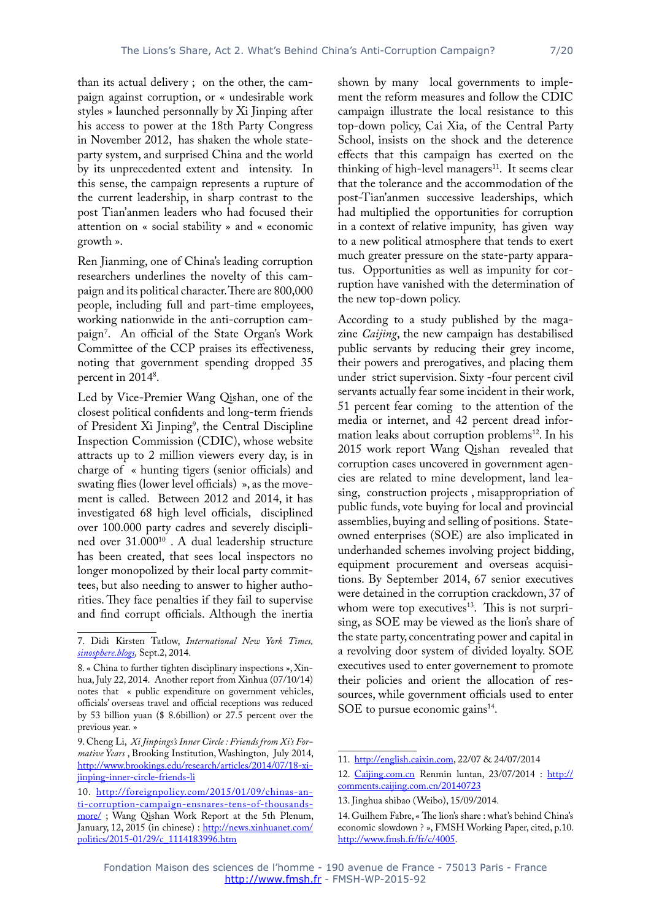than its actual delivery ; on the other, the campaign against corruption, or « undesirable work styles » launched personnally by Xi Jinping after his access to power at the 18th Party Congress in November 2012, has shaken the whole stateparty system, and surprised China and the world by its unprecedented extent and intensity. In this sense, the campaign represents a rupture of the current leadership, in sharp contrast to the post Tian'anmen leaders who had focused their attention on « social stability » and « economic growth ».

Ren Jianming, one of China's leading corruption researchers underlines the novelty of this campaign and its political character. There are 800,000 people, including full and part-time employees, working nationwide in the anti-corruption campaign7 . An official of the State Organ's Work Committee of the CCP praises its effectiveness, noting that government spending dropped 35 percent in 2014<sup>8</sup>.

Led by Vice-Premier Wang Qishan, one of the closest political confidents and long-term friends of President Xi Jinping<sup>9</sup>, the Central Discipline Inspection Commission (CDIC), whose website attracts up to 2 million viewers every day, is in charge of « hunting tigers (senior officials) and swating flies (lower level officials) », as the movement is called. Between 2012 and 2014, it has investigated 68 high level officials, disciplined over 100.000 party cadres and severely disciplined over 31.000<sup>10</sup>. A dual leadership structure has been created, that sees local inspectors no longer monopolized by their local party committees, but also needing to answer to higher authorities. They face penalties if they fail to supervise and find corrupt officials. Although the inertia

shown by many local governments to implement the reform measures and follow the CDIC campaign illustrate the local resistance to this top-down policy, Cai Xia, of the Central Party School, insists on the shock and the deterence effects that this campaign has exerted on the thinking of high-level managers $11$ . It seems clear that the tolerance and the accommodation of the post-Tian'anmen successive leaderships, which had multiplied the opportunities for corruption in a context of relative impunity, has given way to a new political atmosphere that tends to exert much greater pressure on the state-party apparatus. Opportunities as well as impunity for corruption have vanished with the determination of the new top-down policy.

According to a study published by the magazine *Caijing*, the new campaign has destabilised public servants by reducing their grey income, their powers and prerogatives, and placing them under strict supervision. Sixty -four percent civil servants actually fear some incident in their work, 51 percent fear coming to the attention of the media or internet, and 42 percent dread information leaks about corruption problems<sup>12</sup>. In his 2015 work report Wang Qishan revealed that corruption cases uncovered in government agencies are related to mine development, land leasing, construction projects , misappropriation of public funds, vote buying for local and provincial assemblies, buying and selling of positions. Stateowned enterprises (SOE) are also implicated in underhanded schemes involving project bidding, equipment procurement and overseas acquisitions. By September 2014, 67 senior executives were detained in the corruption crackdown, 37 of whom were top executives $13$ . This is not surprising, as SOE may be viewed as the lion's share of the state party, concentrating power and capital in a revolving door system of divided loyalty. SOE executives used to enter governement to promote their policies and orient the allocation of ressources, while government officials used to enter SOE to pursue economic gains $^{14}$ .

<sup>7.</sup> Didi Kirsten Tatlow, *International New York Times, <sinosphere.blogs>,* Sept.2, 2014.

<sup>8. «</sup> China to further tighten disciplinary inspections », Xinhua, July 22, 2014. Another report from Xinhua (07/10/14) notes that « public expenditure on government vehicles, officials' overseas travel and official receptions was reduced by 53 billion yuan (\$ 8.6billion) or 27.5 percent over the previous year. »

<sup>9.</sup> Cheng Li, *Xi Jinpings's Inner Circle : Friends from Xi's Formative Years* , Brooking Institution, Washington, July 2014, [http://www.brookings.edu/research/articles/2014/07/18-xi](http://www.brookings.edu/research/articles/2014/07/18-xi-jinping-inner-circle-friends-li)[jinping-inner-circle-friends-li](http://www.brookings.edu/research/articles/2014/07/18-xi-jinping-inner-circle-friends-li)

<sup>10.</sup> [http://foreignpolicy.com/2015/01/09/chinas-an](http://foreignpolicy.com/2015/01/09/chinas-anti-corruption-campaign-ensnares-tens-of-thousands-more/)[ti-corruption-campaign-ensnares-tens-of-thousands](http://foreignpolicy.com/2015/01/09/chinas-anti-corruption-campaign-ensnares-tens-of-thousands-more/)[more/](http://foreignpolicy.com/2015/01/09/chinas-anti-corruption-campaign-ensnares-tens-of-thousands-more/) ; Wang Qishan Work Report at the 5th Plenum, January, 12, 2015 (in chinese) : [http://news.xinhuanet.com/](http://news.xinhuanet.com/politics/2015-01/29/c_1114183996.htm) [politics/2015-01/29/c\\_1114183996.htm](http://news.xinhuanet.com/politics/2015-01/29/c_1114183996.htm)

<sup>11.</sup> [http://english.caixin.com,](http://english.caixin.com) 22/07 & 24/07/2014

<sup>12.</sup> <Caijing.com.cn> Renmin luntan, 23/07/2014 : [http://](http://comments.caijing.com.cn/20140723) [comments.caijing.com.cn/20140723](http://comments.caijing.com.cn/20140723)

<sup>13.</sup> Jinghua shibao (Weibo), 15/09/2014.

<sup>14.</sup> Guilhem Fabre, « The lion's share : what's behind China's economic slowdown ? », FMSH Working Paper, cited, p.10. <http://www.fmsh.fr/fr/c/4005>.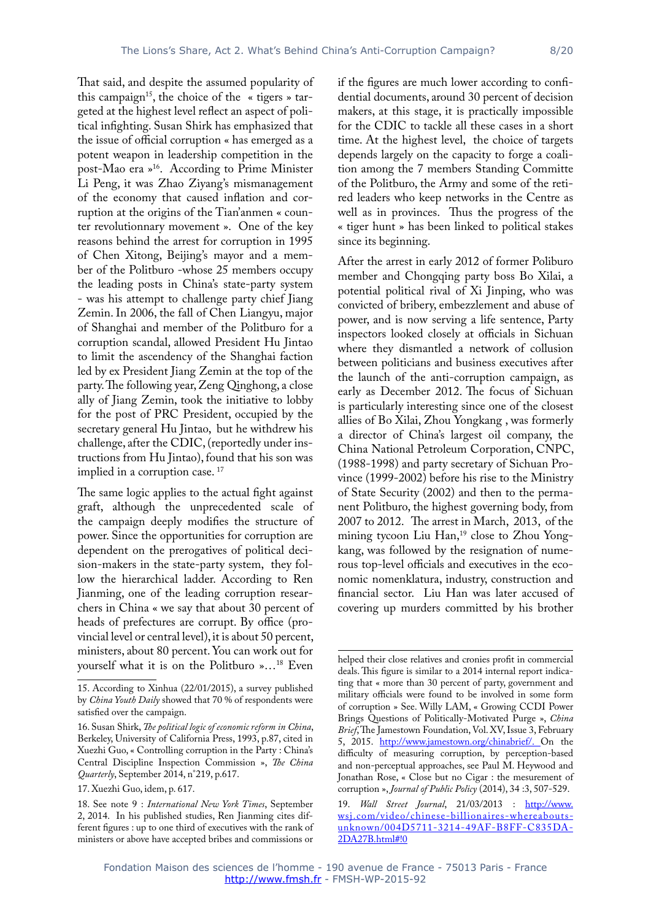That said, and despite the assumed popularity of this campaign<sup>15</sup>, the choice of the « tigers » targeted at the highest level reflect an aspect of political infighting. Susan Shirk has emphasized that the issue of official corruption « has emerged as a potent weapon in leadership competition in the post-Mao era »16. According to Prime Minister Li Peng, it was Zhao Ziyang's mismanagement of the economy that caused inflation and corruption at the origins of the Tian'anmen « counter revolutionnary movement ». One of the key reasons behind the arrest for corruption in 1995 of Chen Xitong, Beijing's mayor and a member of the Politburo -whose 25 members occupy the leading posts in China's state-party system - was his attempt to challenge party chief Jiang Zemin. In 2006, the fall of Chen Liangyu, major of Shanghai and member of the Politburo for a corruption scandal, allowed President Hu Jintao to limit the ascendency of the Shanghai faction led by ex President Jiang Zemin at the top of the party. The following year, Zeng Qinghong, a close ally of Jiang Zemin, took the initiative to lobby for the post of PRC President, occupied by the secretary general Hu Jintao, but he withdrew his challenge, after the CDIC, (reportedly under instructions from Hu Jintao), found that his son was implied in a corruption case.<sup>17</sup>

The same logic applies to the actual fight against graft, although the unprecedented scale of the campaign deeply modifies the structure of power. Since the opportunities for corruption are dependent on the prerogatives of political decision-makers in the state-party system, they follow the hierarchical ladder. According to Ren Jianming, one of the leading corruption researchers in China « we say that about 30 percent of heads of prefectures are corrupt. By office (provincial level or central level), it is about 50 percent, ministers, about 80 percent. You can work out for yourself what it is on the Politburo »…18 Even if the figures are much lower according to confidential documents, around 30 percent of decision makers, at this stage, it is practically impossible for the CDIC to tackle all these cases in a short time. At the highest level, the choice of targets depends largely on the capacity to forge a coalition among the 7 members Standing Committe of the Politburo, the Army and some of the retired leaders who keep networks in the Centre as well as in provinces. Thus the progress of the « tiger hunt » has been linked to political stakes since its beginning.

After the arrest in early 2012 of former Poliburo member and Chongqing party boss Bo Xilai, a potential political rival of Xi Jinping, who was convicted of bribery, embezzlement and abuse of power, and is now serving a life sentence, Party inspectors looked closely at officials in Sichuan where they dismantled a network of collusion between politicians and business executives after the launch of the anti-corruption campaign, as early as December 2012. The focus of Sichuan is particularly interesting since one of the closest allies of Bo Xilai, Zhou Yongkang , was formerly a director of China's largest oil company, the China National Petroleum Corporation, CNPC, (1988-1998) and party secretary of Sichuan Province (1999-2002) before his rise to the Ministry of State Security (2002) and then to the permanent Politburo, the highest governing body, from 2007 to 2012. The arrest in March, 2013, of the mining tycoon Liu Han,<sup>19</sup> close to Zhou Yongkang, was followed by the resignation of numerous top-level officials and executives in the economic nomenklatura, industry, construction and financial sector. Liu Han was later accused of covering up murders committed by his brother

<sup>15.</sup> According to Xinhua (22/01/2015), a survey published by *China Youth Daily* showed that 70 % of respondents were satisfied over the campaign.

<sup>16.</sup> Susan Shirk, *The political logic of economic reform in China*, Berkeley, University of California Press, 1993, p.87, cited in Xuezhi Guo, « Controlling corruption in the Party : China's Central Discipline Inspection Commission », *The China Quarterly*, September 2014, n°219, p.617.

<sup>17.</sup> Xuezhi Guo, idem, p. 617.

<sup>18.</sup> See note 9 : *International New York Times*, September 2, 2014. In his published studies, Ren Jianming cites different figures : up to one third of executives with the rank of ministers or above have accepted bribes and commissions or

helped their close relatives and cronies profit in commercial deals. This figure is similar to a 2014 internal report indicating that « more than 30 percent of party, government and military officials were found to be involved in some form of corruption » See. Willy LAM, « Growing CCDI Power Brings Questions of Politically-Motivated Purge », *China Brief*, The Jamestown Foundation, Vol. XV, Issue 3, February 5, 2015. [http://www.jamestown.org/chinabrief/.](http://www.jamestown.org/chinabrief/) On the difficulty of measuring corruption, by perception-based and non-perceptual approaches, see Paul M. Heywood and Jonathan Rose, « Close but no Cigar : the mesurement of corruption », *Journal of Public Policy* (2014), 34 :3, 507-529.

<sup>19.</sup> *Wall Street Journal*, 21/03/2013 : [http://www.](http://www.wsj.com/video/chinese-billionaires-whereabouts-unknown/004D5711-3214-49AF-B8FF-C835DA2DA27B.html#!0) [wsj.com/video/chinese-billionaires-whereabouts](http://www.wsj.com/video/chinese-billionaires-whereabouts-unknown/004D5711-3214-49AF-B8FF-C835DA2DA27B.html#!0)[unknown/004D5711-3214-49AF-B8FF-C835DA-](http://www.wsj.com/video/chinese-billionaires-whereabouts-unknown/004D5711-3214-49AF-B8FF-C835DA2DA27B.html#!0)[2DA27B.html#!0](http://www.wsj.com/video/chinese-billionaires-whereabouts-unknown/004D5711-3214-49AF-B8FF-C835DA2DA27B.html#!0)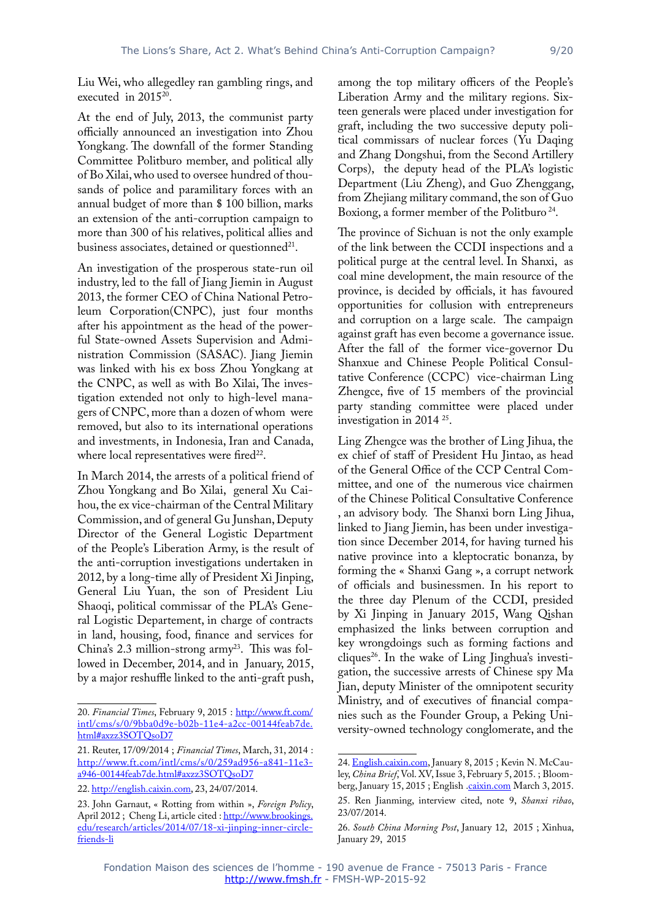Liu Wei, who allegedley ran gambling rings, and executed in 201520.

At the end of July, 2013, the communist party officially announced an investigation into Zhou Yongkang. The downfall of the former Standing Committee Politburo member, and political ally of Bo Xilai, who used to oversee hundred of thousands of police and paramilitary forces with an annual budget of more than \$ 100 billion, marks an extension of the anti-corruption campaign to more than 300 of his relatives, political allies and business associates, detained or questionned<sup>21</sup>.

An investigation of the prosperous state-run oil industry, led to the fall of Jiang Jiemin in August 2013, the former CEO of China National Petroleum Corporation(CNPC), just four months after his appointment as the head of the powerful State-owned Assets Supervision and Administration Commission (SASAC). Jiang Jiemin was linked with his ex boss Zhou Yongkang at the CNPC, as well as with Bo Xilai, The investigation extended not only to high-level managers of CNPC, more than a dozen of whom were removed, but also to its international operations and investments, in Indonesia, Iran and Canada, where local representatives were fired $22$ .

In March 2014, the arrests of a political friend of Zhou Yongkang and Bo Xilai, general Xu Caihou, the ex vice-chairman of the Central Military Commission, and of general Gu Junshan, Deputy Director of the General Logistic Department of the People's Liberation Army, is the result of the anti-corruption investigations undertaken in 2012, by a long-time ally of President Xi Jinping, General Liu Yuan, the son of President Liu Shaoqi, political commissar of the PLA's General Logistic Departement, in charge of contracts in land, housing, food, finance and services for China's 2.3 million-strong  $army^{23}$ . This was followed in December, 2014, and in January, 2015, by a major reshuffle linked to the anti-graft push,

among the top military officers of the People's Liberation Army and the military regions. Sixteen generals were placed under investigation for graft, including the two successive deputy political commissars of nuclear forces (Yu Daqing and Zhang Dongshui, from the Second Artillery Corps), the deputy head of the PLA's logistic Department (Liu Zheng), and Guo Zhenggang, from Zhejiang military command, the son of Guo Boxiong, a former member of the Politburo<sup>24</sup>.

The province of Sichuan is not the only example of the link between the CCDI inspections and a political purge at the central level. In Shanxi, as coal mine development, the main resource of the province, is decided by officials, it has favoured opportunities for collusion with entrepreneurs and corruption on a large scale. The campaign against graft has even become a governance issue. After the fall of the former vice-governor Du Shanxue and Chinese People Political Consultative Conference (CCPC) vice-chairman Ling Zhengce, five of 15 members of the provincial party standing committee were placed under investigation in 2014 25.

Ling Zhengce was the brother of Ling Jihua, the ex chief of staff of President Hu Jintao, as head of the General Office of the CCP Central Committee, and one of the numerous vice chairmen of the Chinese Political Consultative Conference , an advisory body. The Shanxi born Ling Jihua, linked to Jiang Jiemin, has been under investigation since December 2014, for having turned his native province into a kleptocratic bonanza, by forming the « Shanxi Gang », a corrupt network of officials and businessmen. In his report to the three day Plenum of the CCDI, presided by Xi Jinping in January 2015, Wang Qishan emphasized the links between corruption and key wrongdoings such as forming factions and cliques<sup>26</sup>. In the wake of Ling Jinghua's investigation, the successive arrests of Chinese spy Ma Jian, deputy Minister of the omnipotent security Ministry, and of executives of financial companies such as the Founder Group, a Peking University-owned technology conglomerate, and the

<sup>20.</sup> *Financial Times*, February 9, 2015 : [http://www.ft.com/](http://www.ft.com/intl/cms/s/0/9bba0d9e-b02b-11e4-a2cc-00144feab7de.html#axzz3SOTQsoD7) [intl/cms/s/0/9bba0d9e-b02b-11e4-a2cc-00144feab7de.](http://www.ft.com/intl/cms/s/0/9bba0d9e-b02b-11e4-a2cc-00144feab7de.html#axzz3SOTQsoD7) [html#axzz3SOTQsoD7](http://www.ft.com/intl/cms/s/0/9bba0d9e-b02b-11e4-a2cc-00144feab7de.html#axzz3SOTQsoD7)

<sup>21.</sup> Reuter, 17/09/2014 ; *Financial Times*, March, 31, 2014 : [http://www.ft.com/intl/cms/s/0/259ad956-a841-11e3](http://www.ft.com/intl/cms/s/0/259ad956-a841-11e3-a946-00144feab7de.html#axzz3SOTQsoD7) [a946-00144feab7de.html#axzz3SOTQsoD7](http://www.ft.com/intl/cms/s/0/259ad956-a841-11e3-a946-00144feab7de.html#axzz3SOTQsoD7)

<sup>22.</sup> [http://english.caixin.com,](http://english.caixin.com) 23, 24/07/2014.

<sup>23.</sup> John Garnaut, « Rotting from within », *Foreign Policy*, April 2012 ; Cheng Li, article cited : [http://www.brookings.](http://www.brookings.edu/research/articles/2014/07/18-xi-jinping-inner-circle-friends-li) [edu/research/articles/2014/07/18-xi-jinping-inner-circle](http://www.brookings.edu/research/articles/2014/07/18-xi-jinping-inner-circle-friends-li)[friends-li](http://www.brookings.edu/research/articles/2014/07/18-xi-jinping-inner-circle-friends-li)

<sup>24.</sup> <English.caixin.com>, January 8, 2015 ; Kevin N. McCauley, *China Brief*, Vol. XV, Issue 3, February 5, 2015. ; Bloom-berg, January 15, 2015 ; English [.caixin.com](caixin.com) March 3, 2015. 25. Ren Jianming, interview cited, note 9, *Shanxi ribao*, 23/07/2014.

<sup>26.</sup> *South China Morning Post*, January 12, 2015 ; Xinhua, January 29, 2015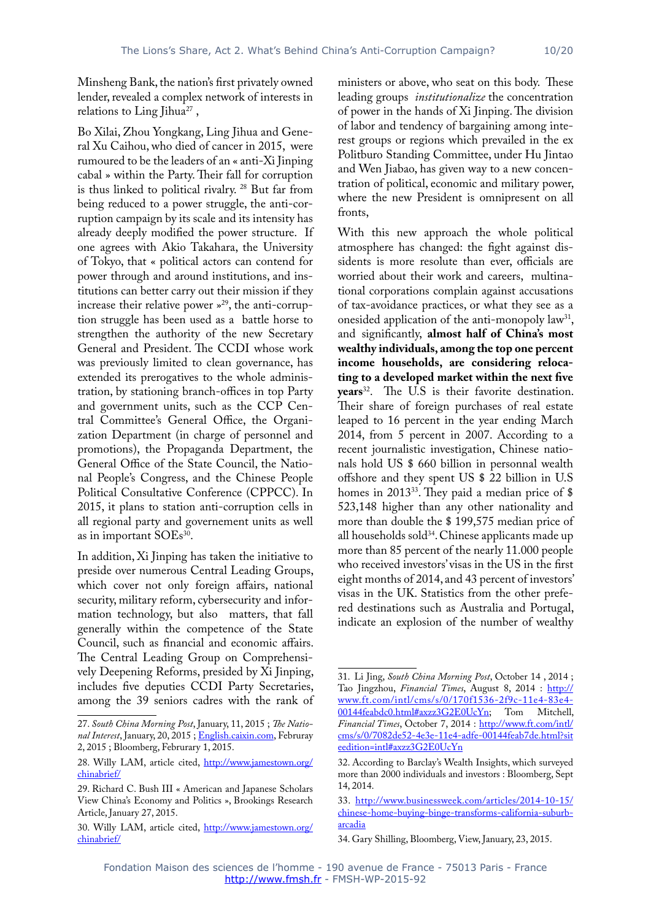Minsheng Bank, the nation's first privately owned lender, revealed a complex network of interests in relations to Ling Jihua<sup>27</sup>,

Bo Xilai, Zhou Yongkang, Ling Jihua and General Xu Caihou, who died of cancer in 2015, were rumoured to be the leaders of an « anti-Xi Jinping cabal » within the Party. Their fall for corruption is thus linked to political rivalry. 28 But far from being reduced to a power struggle, the anti-corruption campaign by its scale and its intensity has already deeply modified the power structure. If one agrees with Akio Takahara, the University of Tokyo, that « political actors can contend for power through and around institutions, and institutions can better carry out their mission if they increase their relative power  $v^{29}$ , the anti-corruption struggle has been used as a battle horse to strengthen the authority of the new Secretary General and President. The CCDI whose work was previously limited to clean governance, has extended its prerogatives to the whole administration, by stationing branch-offices in top Party and government units, such as the CCP Central Committee's General Office, the Organization Department (in charge of personnel and promotions), the Propaganda Department, the General Office of the State Council, the National People's Congress, and the Chinese People Political Consultative Conference (CPPCC). In 2015, it plans to station anti-corruption cells in all regional party and governement units as well as in important SOEs<sup>30</sup>.

In addition, Xi Jinping has taken the initiative to preside over numerous Central Leading Groups, which cover not only foreign affairs, national security, military reform, cybersecurity and information technology, but also matters, that fall generally within the competence of the State Council, such as financial and economic affairs. The Central Leading Group on Comprehensively Deepening Reforms, presided by Xi Jinping, includes five deputies CCDI Party Secretaries, among the 39 seniors cadres with the rank of

ministers or above, who seat on this body. These leading groups *institutionalize* the concentration of power in the hands of Xi Jinping. The division of labor and tendency of bargaining among interest groups or regions which prevailed in the ex Politburo Standing Committee, under Hu Jintao and Wen Jiabao, has given way to a new concentration of political, economic and military power, where the new President is omnipresent on all fronts,

With this new approach the whole political atmosphere has changed: the fight against dissidents is more resolute than ever, officials are worried about their work and careers, multinational corporations complain against accusations of tax-avoidance practices, or what they see as a onesided application of the anti-monopoly law<sup>31</sup>, and significantly, **almost half of China's most wealthy individuals, among the top one percent income households, are considering relocating to a developed market within the next five years**32. The U.S is their favorite destination. Their share of foreign purchases of real estate leaped to 16 percent in the year ending March 2014, from 5 percent in 2007. According to a recent journalistic investigation, Chinese nationals hold US \$ 660 billion in personnal wealth offshore and they spent US \$ 22 billion in U.S homes in 2013<sup>33</sup>. They paid a median price of \$ 523,148 higher than any other nationality and more than double the \$ 199,575 median price of all households sold<sup>34</sup>. Chinese applicants made up more than 85 percent of the nearly 11.000 people who received investors' visas in the US in the first eight months of 2014, and 43 percent of investors' visas in the UK. Statistics from the other prefered destinations such as Australia and Portugal, indicate an explosion of the number of wealthy

<sup>27.</sup> *South China Morning Post*, January, 11, 2015 ; *The National Interest*, January, 20, 2015 ;<English.caixin.com>, Februray 2, 2015 ; Bloomberg, Februrary 1, 2015.

<sup>28.</sup> Willy LAM, article cited, [http://www.jamestown.org/](http://www.jamestown.org/chinabrief/) [chinabrief/](http://www.jamestown.org/chinabrief/)

<sup>29.</sup> Richard C. Bush III « American and Japanese Scholars View China's Economy and Politics », Brookings Research Article, January 27, 2015.

<sup>30.</sup> Willy LAM, article cited, [http://www.jamestown.org/](http://www.jamestown.org/chinabrief/) [chinabrief/](http://www.jamestown.org/chinabrief/)

<sup>31.</sup> Li Jing, *South China Morning Post*, October 14 , 2014 ; Tao Jingzhou, *Financial Times*, August 8, 2014 : [http://](http://www.ft.com/intl/cms/s/0/170f1536-2f9c-11e4-83e4-00144feabdc0.html#axzz3G2E0UcYn) [www.ft.com/intl/cms/s/0/170f1536-2f9c-11e4-83e4-](http://www.ft.com/intl/cms/s/0/170f1536-2f9c-11e4-83e4-00144feabdc0.html#axzz3G2E0UcYn) [00144feabdc0.html#axzz3G2E0UcYn](http://www.ft.com/intl/cms/s/0/170f1536-2f9c-11e4-83e4-00144feabdc0.html#axzz3G2E0UcYn); Tom Mitchell, *Financial Times*, October 7, 2014 : [http://www.ft.com/intl/](http://www.ft.com/intl/cms/s/0/7082de52-4e3e-11e4-adfe-00144feab7de.html?siteedition=intl#axzz3G2E0UcYn) [cms/s/0/7082de52-4e3e-11e4-adfe-00144feab7de.html?sit](http://www.ft.com/intl/cms/s/0/7082de52-4e3e-11e4-adfe-00144feab7de.html?siteedition=intl#axzz3G2E0UcYn) [eedition=intl#axzz3G2E0UcYn](http://www.ft.com/intl/cms/s/0/7082de52-4e3e-11e4-adfe-00144feab7de.html?siteedition=intl#axzz3G2E0UcYn)

<sup>32.</sup> According to Barclay's Wealth Insights, which surveyed more than 2000 individuals and investors : Bloomberg, Sept 14, 2014.

<sup>33.</sup> [http://www.businessweek.com/articles/2014-10-15/](http://www.businessweek.com/articles/2014-10-15/chinese-home-buying-binge-transforms-california-suburb-arcadia) [chinese-home-buying-binge-transforms-california-suburb](http://www.businessweek.com/articles/2014-10-15/chinese-home-buying-binge-transforms-california-suburb-arcadia)[arcadia](http://www.businessweek.com/articles/2014-10-15/chinese-home-buying-binge-transforms-california-suburb-arcadia)

<sup>34.</sup> Gary Shilling, Bloomberg, View, January, 23, 2015.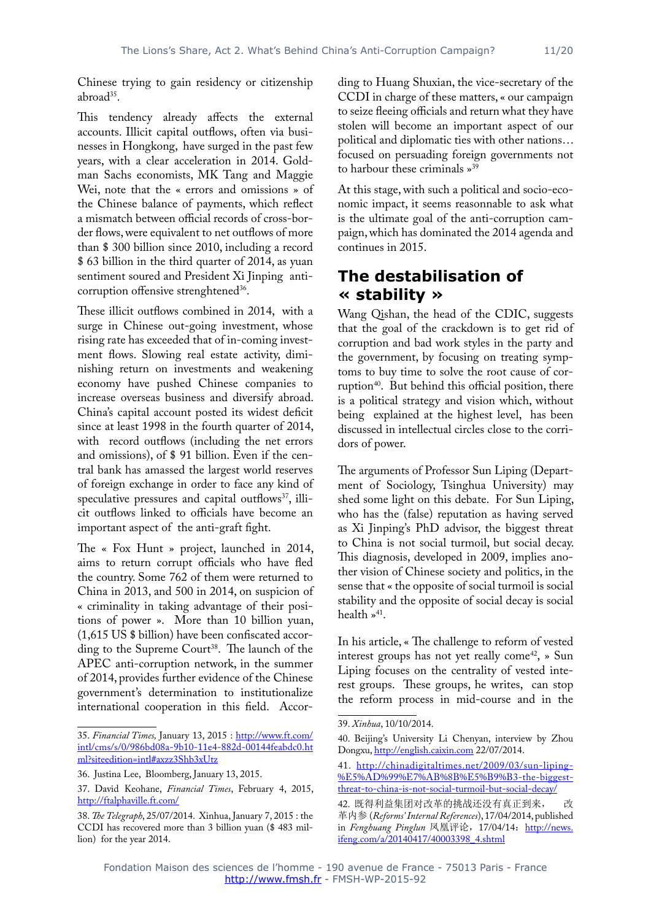Chinese trying to gain residency or citizenship abroad<sup>35</sup>.

This tendency already affects the external accounts. Illicit capital outflows, often via businesses in Hongkong, have surged in the past few years, with a clear acceleration in 2014. Goldman Sachs economists, MK Tang and Maggie Wei, note that the « errors and omissions » of the Chinese balance of payments, which reflect a mismatch between official records of cross-border flows, were equivalent to net outflows of more than \$ 300 billion since 2010, including a record \$ 63 billion in the third quarter of 2014, as yuan sentiment soured and President Xi Jinping anticorruption offensive strenghtened<sup>36</sup>.

These illicit outflows combined in 2014, with a surge in Chinese out-going investment, whose rising rate has exceeded that of in-coming investment flows. Slowing real estate activity, diminishing return on investments and weakening economy have pushed Chinese companies to increase overseas business and diversify abroad. China's capital account posted its widest deficit since at least 1998 in the fourth quarter of 2014, with record outflows (including the net errors and omissions), of \$ 91 billion. Even if the central bank has amassed the largest world reserves of foreign exchange in order to face any kind of speculative pressures and capital outflows<sup>37</sup>, illicit outflows linked to officials have become an important aspect of the anti-graft fight.

The « Fox Hunt » project, launched in 2014, aims to return corrupt officials who have fled the country. Some 762 of them were returned to China in 2013, and 500 in 2014, on suspicion of « criminality in taking advantage of their positions of power ». More than 10 billion yuan, (1,615 US \$ billion) have been confiscated according to the Supreme Court<sup>38</sup>. The launch of the APEC anti-corruption network, in the summer of 2014, provides further evidence of the Chinese government's determination to institutionalize international cooperation in this field. According to Huang Shuxian, the vice-secretary of the CCDI in charge of these matters, « our campaign to seize fleeing officials and return what they have stolen will become an important aspect of our political and diplomatic ties with other nations… focused on persuading foreign governments not to harbour these criminals »39

At this stage, with such a political and socio-economic impact, it seems reasonnable to ask what is the ultimate goal of the anti-corruption campaign, which has dominated the 2014 agenda and continues in 2015.

#### **The destabilisation of « stability »**

Wang Qishan, the head of the CDIC, suggests that the goal of the crackdown is to get rid of corruption and bad work styles in the party and the government, by focusing on treating symptoms to buy time to solve the root cause of corruption<sup>40</sup>. But behind this official position, there is a political strategy and vision which, without being explained at the highest level, has been discussed in intellectual circles close to the corridors of power.

The arguments of Professor Sun Liping (Department of Sociology, Tsinghua University) may shed some light on this debate. For Sun Liping, who has the (false) reputation as having served as Xi Jinping's PhD advisor, the biggest threat to China is not social turmoil, but social decay. This diagnosis, developed in 2009, implies another vision of Chinese society and politics, in the sense that « the opposite of social turmoil is social stability and the opposite of social decay is social health  $*^{41}$ .

In his article, « The challenge to reform of vested interest groups has not yet really come<sup>42</sup>, » Sun Liping focuses on the centrality of vested interest groups. These groups, he writes, can stop the reform process in mid-course and in the

<sup>35.</sup> *Financial Times,* January 13, 2015 : [http://www.ft.com/](http://www.ft.com/intl/cms/s/0/986bd08a-9b10-11e4-882d-00144feabdc0.html?siteedition=intl#axzz3Shb3xUtz) [intl/cms/s/0/986bd08a-9b10-11e4-882d-00144feabdc0.ht](http://www.ft.com/intl/cms/s/0/986bd08a-9b10-11e4-882d-00144feabdc0.html?siteedition=intl#axzz3Shb3xUtz) [ml?siteedition=intl#axzz3Shb3xUtz](http://www.ft.com/intl/cms/s/0/986bd08a-9b10-11e4-882d-00144feabdc0.html?siteedition=intl#axzz3Shb3xUtz)

<sup>36.</sup> Justina Lee, Bloomberg, January 13, 2015.

<sup>37.</sup> David Keohane, *Financial Times*, February 4, 2015, <http://ftalphaville.ft.com/>

<sup>38.</sup> *The Telegraph*, 25/07/2014. Xinhua, January 7, 2015 : the CCDI has recovered more than 3 billion yuan (\$ 483 million) for the year 2014.

<sup>39.</sup> *Xinhua*, 10/10/2014.

<sup>40.</sup> Beijing's University Li Chenyan, interview by Zhou Dongxu, [http://english.caixin.com](http://english.caiwin.com) 22/07/2014.

<sup>41.</sup> [http://chinadigitaltimes.net/2009/03/sun-liping-](http://chinadigitaltimes.net/2009/03/sun-liping-%E5%AD%99%E7%AB%8B%E5%B9%B3-the-biggest-threat-to-china-is-not-social-turmoil-but-social-decay/) [%E5%AD%99%E7%AB%8B%E5%B9%B3-the-biggest](http://chinadigitaltimes.net/2009/03/sun-liping-%E5%AD%99%E7%AB%8B%E5%B9%B3-the-biggest-threat-to-china-is-not-social-turmoil-but-social-decay/)[threat-to-china-is-not-social-turmoil-but-social-decay/](http://chinadigitaltimes.net/2009/03/sun-liping-%E5%AD%99%E7%AB%8B%E5%B9%B3-the-biggest-threat-to-china-is-not-social-turmoil-but-social-decay/)

<sup>42.</sup> 既得利益集团对改革的挑战还没有真正到来, 改 革内参 (*Reforms' Internal References*), 17/04/2014, published in Fenghuang Pinglun 凤凰评论, 17/04/14: [http://news.](http://news.ifeng.com/a/20140417/40003398_4.shtml) [ifeng.com/a/20140417/40003398\\_4.shtml](http://news.ifeng.com/a/20140417/40003398_4.shtml)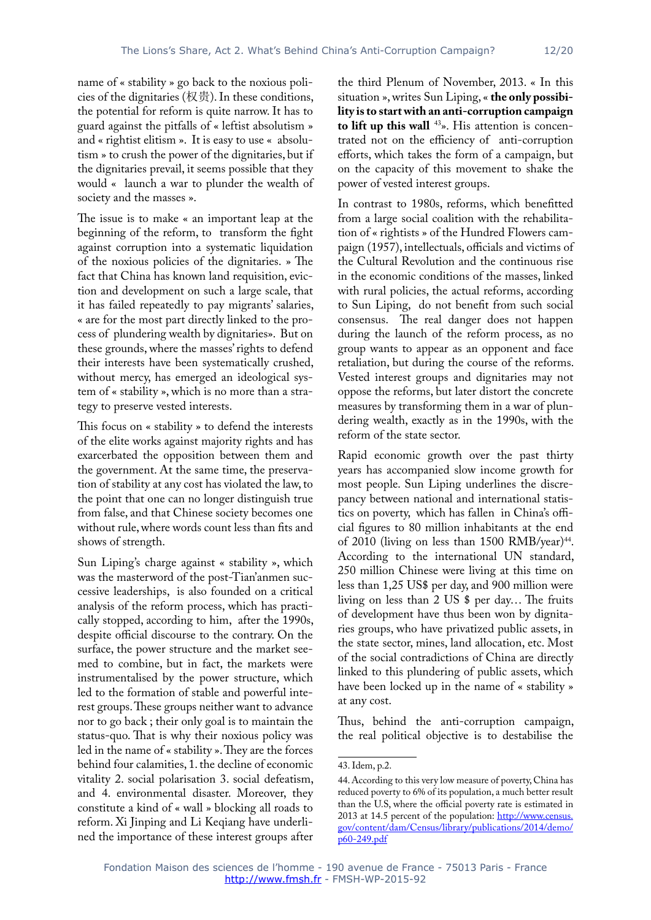name of « stability » go back to the noxious policies of the dignitaries (权贵). In these conditions, the potential for reform is quite narrow. It has to guard against the pitfalls of « leftist absolutism » and « rightist elitism ». It is easy to use « absolutism » to crush the power of the dignitaries, but if the dignitaries prevail, it seems possible that they would « launch a war to plunder the wealth of society and the masses ».

The issue is to make « an important leap at the beginning of the reform, to transform the fight against corruption into a systematic liquidation of the noxious policies of the dignitaries. » The fact that China has known land requisition, eviction and development on such a large scale, that it has failed repeatedly to pay migrants' salaries, « are for the most part directly linked to the process of plundering wealth by dignitaries». But on these grounds, where the masses' rights to defend their interests have been systematically crushed, without mercy, has emerged an ideological system of « stability », which is no more than a strategy to preserve vested interests.

This focus on « stability » to defend the interests of the elite works against majority rights and has exarcerbated the opposition between them and the government. At the same time, the preservation of stability at any cost has violated the law, to the point that one can no longer distinguish true from false, and that Chinese society becomes one without rule, where words count less than fits and shows of strength.

Sun Liping's charge against « stability », which was the masterword of the post-Tian'anmen successive leaderships, is also founded on a critical analysis of the reform process, which has practically stopped, according to him, after the 1990s, despite official discourse to the contrary. On the surface, the power structure and the market seemed to combine, but in fact, the markets were instrumentalised by the power structure, which led to the formation of stable and powerful interest groups. These groups neither want to advance nor to go back ; their only goal is to maintain the status-quo. That is why their noxious policy was led in the name of « stability ». They are the forces behind four calamities, 1. the decline of economic vitality 2. social polarisation 3. social defeatism, and 4. environmental disaster. Moreover, they constitute a kind of « wall » blocking all roads to reform. Xi Jinping and Li Keqiang have underlined the importance of these interest groups after

the third Plenum of November, 2013. « In this situation », writes Sun Liping, « **the only possibility is to start with an anti-corruption campaign**  to lift up this wall <sup>43</sup>». His attention is concentrated not on the efficiency of anti-corruption efforts, which takes the form of a campaign, but on the capacity of this movement to shake the power of vested interest groups.

In contrast to 1980s, reforms, which benefitted from a large social coalition with the rehabilitation of « rightists » of the Hundred Flowers campaign (1957), intellectuals, officials and victims of the Cultural Revolution and the continuous rise in the economic conditions of the masses, linked with rural policies, the actual reforms, according to Sun Liping, do not benefit from such social consensus. The real danger does not happen during the launch of the reform process, as no group wants to appear as an opponent and face retaliation, but during the course of the reforms. Vested interest groups and dignitaries may not oppose the reforms, but later distort the concrete measures by transforming them in a war of plundering wealth, exactly as in the 1990s, with the reform of the state sector.

Rapid economic growth over the past thirty years has accompanied slow income growth for most people. Sun Liping underlines the discrepancy between national and international statistics on poverty, which has fallen in China's official figures to 80 million inhabitants at the end of 2010 (living on less than 1500 RMB/year) $44$ . According to the international UN standard, 250 million Chinese were living at this time on less than 1,25 US\$ per day, and 900 million were living on less than 2 US \$ per day… The fruits of development have thus been won by dignitaries groups, who have privatized public assets, in the state sector, mines, land allocation, etc. Most of the social contradictions of China are directly linked to this plundering of public assets, which have been locked up in the name of « stability » at any cost.

Thus, behind the anti-corruption campaign, the real political objective is to destabilise the

<sup>43.</sup> Idem, p.2.

<sup>44.</sup> According to this very low measure of poverty, China has reduced poverty to 6% of its population, a much better result than the U.S, where the official poverty rate is estimated in 2013 at 14.5 percent of the population: [http://www.census.](http://www.census.gov/content/dam/Census/library/publications/2014/demo/p60-249.pdf) [gov/content/dam/Census/library/publications/2014/demo/](http://www.census.gov/content/dam/Census/library/publications/2014/demo/p60-249.pdf) [p60-249.pdf](http://www.census.gov/content/dam/Census/library/publications/2014/demo/p60-249.pdf)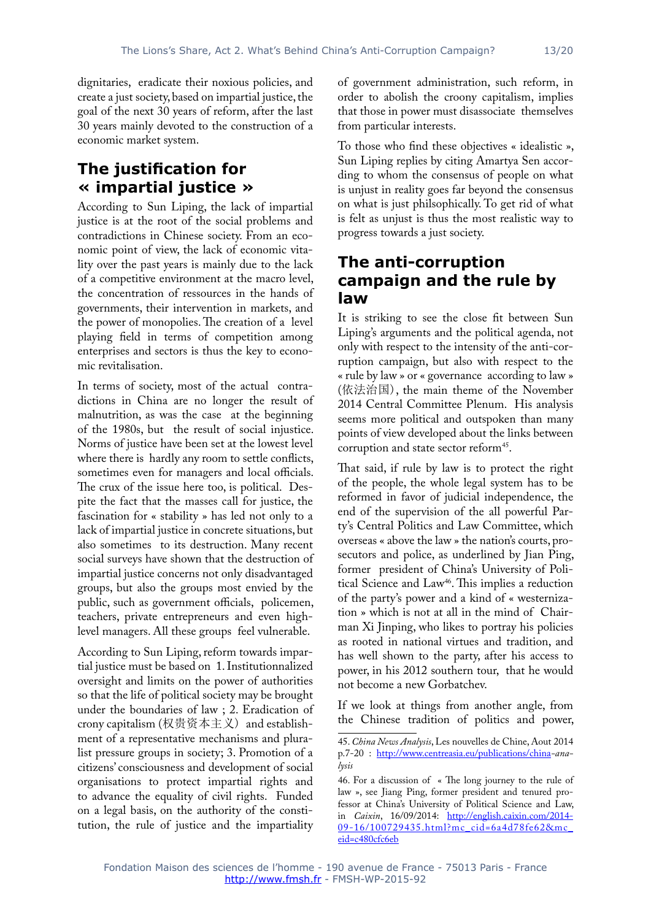dignitaries, eradicate their noxious policies, and create a just society, based on impartial justice, the goal of the next 30 years of reform, after the last 30 years mainly devoted to the construction of a economic market system.

### **The justification for « impartial justice »**

According to Sun Liping, the lack of impartial justice is at the root of the social problems and contradictions in Chinese society. From an economic point of view, the lack of economic vitality over the past years is mainly due to the lack of a competitive environment at the macro level, the concentration of ressources in the hands of governments, their intervention in markets, and the power of monopolies. The creation of a level playing field in terms of competition among enterprises and sectors is thus the key to economic revitalisation.

In terms of society, most of the actual contradictions in China are no longer the result of malnutrition, as was the case at the beginning of the 1980s, but the result of social injustice. Norms of justice have been set at the lowest level where there is hardly any room to settle conflicts, sometimes even for managers and local officials. The crux of the issue here too, is political. Despite the fact that the masses call for justice, the fascination for « stability » has led not only to a lack of impartial justice in concrete situations, but also sometimes to its destruction. Many recent social surveys have shown that the destruction of impartial justice concerns not only disadvantaged groups, but also the groups most envied by the public, such as government officials, policemen, teachers, private entrepreneurs and even highlevel managers. All these groups feel vulnerable.

According to Sun Liping, reform towards impartial justice must be based on 1. Institutionnalized oversight and limits on the power of authorities so that the life of political society may be brought under the boundaries of law ; 2. Eradication of crony capitalism (权贵资本主义) and establishment of a representative mechanisms and pluralist pressure groups in society; 3. Promotion of a citizens' consciousness and development of social organisations to protect impartial rights and to advance the equality of civil rights. Funded on a legal basis, on the authority of the constitution, the rule of justice and the impartiality of government administration, such reform, in order to abolish the croony capitalism, implies that those in power must disassociate themselves from particular interests.

To those who find these objectives « idealistic », Sun Liping replies by citing Amartya Sen according to whom the consensus of people on what is unjust in reality goes far beyond the consensus on what is just philsophically. To get rid of what is felt as unjust is thus the most realistic way to progress towards a just society.

#### **The anti-corruption campaign and the rule by law**

It is striking to see the close fit between Sun Liping's arguments and the political agenda, not only with respect to the intensity of the anti-corruption campaign, but also with respect to the « rule by law » or « governance according to law » (依法治国), the main theme of the November 2014 Central Committee Plenum. His analysis seems more political and outspoken than many points of view developed about the links between corruption and state sector reform<sup>45</sup>.

That said, if rule by law is to protect the right of the people, the whole legal system has to be reformed in favor of judicial independence, the end of the supervision of the all powerful Party's Central Politics and Law Committee, which overseas « above the law » the nation's courts, prosecutors and police, as underlined by Jian Ping, former president of China's University of Political Science and Law<sup>46</sup>. This implies a reduction of the party's power and a kind of « westernization » which is not at all in the mind of Chairman Xi Jinping, who likes to portray his policies as rooted in national virtues and tradition, and has well shown to the party, after his access to power, in his 2012 southern tour, that he would not become a new Gorbatchev.

If we look at things from another angle, from the Chinese tradition of politics and power,

<sup>45.</sup> *China News Analysis*, Les nouvelles de Chine, Aout 2014 p.7-20 : <http://www.centreasia.eu/publications/china>*-analysis*

<sup>46.</sup> For a discussion of « The long journey to the rule of law », see Jiang Ping, former president and tenured professor at China's University of Political Science and Law, in *Caixin*, 16/09/2014: [http://english.caixin.com/2014-](http://english.caixin.com/2014-09-16/100729435.html?mc_cid=6a4d78fe62&mc_eid=c480cfc6eb) <u>[09-16/100729435.html?mc\\_cid=6a4d78fe62&mc\\_](http://english.caixin.com/2014-09-16/100729435.html?mc_cid=6a4d78fe62&mc_eid=c480cfc6eb)</u> [eid=c480cfc6eb](http://english.caixin.com/2014-09-16/100729435.html?mc_cid=6a4d78fe62&mc_eid=c480cfc6eb)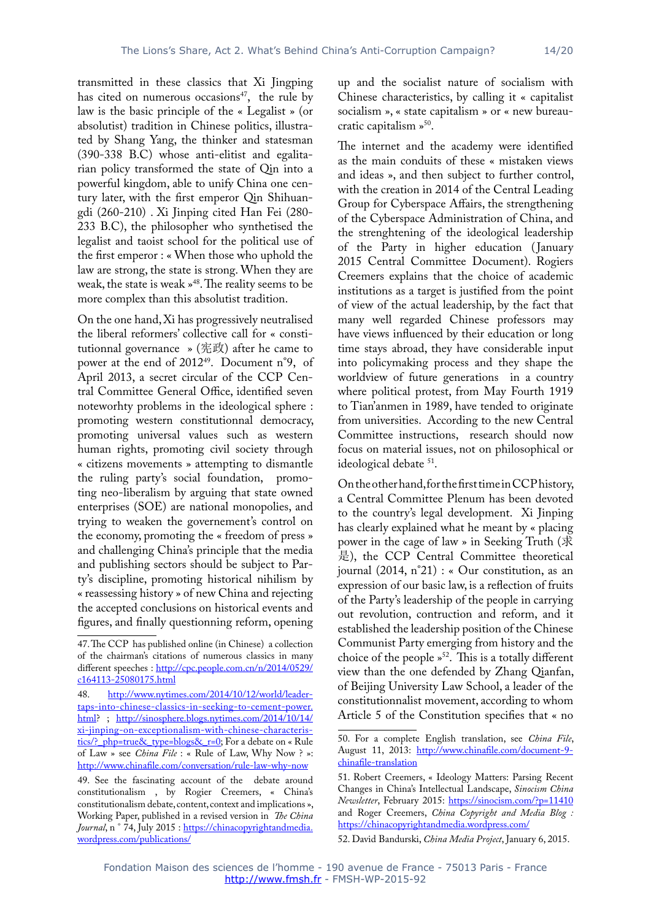transmitted in these classics that Xi Jingping has cited on numerous occasions<sup>47</sup>, the rule by law is the basic principle of the « Legalist » (or absolutist) tradition in Chinese politics, illustrated by Shang Yang, the thinker and statesman (390-338 B.C) whose anti-elitist and egalitarian policy transformed the state of Qin into a powerful kingdom, able to unify China one century later, with the first emperor Qin Shihuangdi (260-210) . Xi Jinping cited Han Fei (280- 233 B.C), the philosopher who synthetised the legalist and taoist school for the political use of the first emperor : « When those who uphold the law are strong, the state is strong. When they are weak, the state is weak »48. The reality seems to be more complex than this absolutist tradition.

On the one hand, Xi has progressively neutralised the liberal reformers' collective call for « constitutionnal governance » (宪政) after he came to power at the end of 2012<sup>49</sup>. Document n°9, of April 2013, a secret circular of the CCP Central Committee General Office, identified seven noteworhty problems in the ideological sphere : promoting western constitutionnal democracy, promoting universal values such as western human rights, promoting civil society through « citizens movements » attempting to dismantle the ruling party's social foundation, promoting neo-liberalism by arguing that state owned enterprises (SOE) are national monopolies, and trying to weaken the governement's control on the economy, promoting the « freedom of press » and challenging China's principle that the media and publishing sectors should be subject to Party's discipline, promoting historical nihilism by « reassessing history » of new China and rejecting the accepted conclusions on historical events and figures, and finally questionning reform, opening

up and the socialist nature of socialism with Chinese characteristics, by calling it « capitalist socialism », « state capitalism » or « new bureaucratic capitalism »<sup>50</sup>.

The internet and the academy were identified as the main conduits of these « mistaken views and ideas », and then subject to further control, with the creation in 2014 of the Central Leading Group for Cyberspace Affairs, the strengthening of the Cyberspace Administration of China, and the strenghtening of the ideological leadership of the Party in higher education (January 2015 Central Committee Document). Rogiers Creemers explains that the choice of academic institutions as a target is justified from the point of view of the actual leadership, by the fact that many well regarded Chinese professors may have views influenced by their education or long time stays abroad, they have considerable input into policymaking process and they shape the worldview of future generations in a country where political protest, from May Fourth 1919 to Tian'anmen in 1989, have tended to originate from universities. According to the new Central Committee instructions, research should now focus on material issues, not on philosophical or ideological debate <sup>51</sup>.

On the other hand, for the first time in CCP history, a Central Committee Plenum has been devoted to the country's legal development. Xi Jinping has clearly explained what he meant by « placing power in the cage of law » in Seeking Truth (求 是), the CCP Central Committee theoretical journal (2014, n°21) : « Our constitution, as an expression of our basic law, is a reflection of fruits of the Party's leadership of the people in carrying out revolution, contruction and reform, and it established the leadership position of the Chinese Communist Party emerging from history and the choice of the people  $v^{52}$ . This is a totally different view than the one defended by Zhang Qianfan, of Beijing University Law School, a leader of the constitutionnalist movement, according to whom Article 5 of the Constitution specifies that « no

<sup>47.</sup> The CCP has published online (in Chinese) a collection of the chairman's citations of numerous classics in many different speeches : [http://cpc.people.com.cn/n/2014/0529/](http://cpc.people.com.cn/n/2014/0529/c164113-25080175.html) [c164113-25080175.html](http://cpc.people.com.cn/n/2014/0529/c164113-25080175.html)

<sup>48.</sup> [http://www.nytimes.com/2014/10/12/world/leader](http://www.nytimes.com/2014/10/12/world/leader-taps-into-chinese-classics-in-seeking-to-cement-power.html)[taps-into-chinese-classics-in-seeking-to-cement-power.](http://www.nytimes.com/2014/10/12/world/leader-taps-into-chinese-classics-in-seeking-to-cement-power.html) [html](http://www.nytimes.com/2014/10/12/world/leader-taps-into-chinese-classics-in-seeking-to-cement-power.html)? ; [http://sinosphere.blogs.nytimes.com/2014/10/14/](http://sinosphere.blogs.nytimes.com/2014/10/14/xi-jinping-on-exceptionalism-with-chinese-characteristics/?_php=true&_type=blogs&_r=0) [xi-jinping-on-exceptionalism-with-chinese-characteris](http://sinosphere.blogs.nytimes.com/2014/10/14/xi-jinping-on-exceptionalism-with-chinese-characteristics/?_php=true&_type=blogs&_r=0)tics/? php=true& type=blogs& r=0; For a debate on « Rule of Law » see *China File* : « Rule of Law, Why Now ? »: <http://www.chinafile.com/conversation/rule-law-why-now>

<sup>49.</sup> See the fascinating account of the debate around constitutionalism , by Rogier Creemers, « China's constitutionalism debate, content, context and implications », Working Paper, published in a revised version in *The China*  Journal, n<sup>°</sup> 74, July 2015 : [https://chinacopyrightandmedia.](https://chinacopyrightandmedia.wordpress.com/publications/) [wordpress.com/publications/](https://chinacopyrightandmedia.wordpress.com/publications/)

<sup>50.</sup> For a complete English translation, see *China File*, August 11, 2013: [http://www.chinafile.com/document-9](http://www.chinafile.com/document-9-chinafile-translation) [chinafile-translation](http://www.chinafile.com/document-9-chinafile-translation)

<sup>51.</sup> Robert Creemers, « Ideology Matters: Parsing Recent Changes in China's Intellectual Landscape, *Sinocism China Newsletter*, February 2015: <https://sinocism.com/?p=11410> and Roger Creemers, *China Copyright and Media Blog :* <https://chinacopyrightandmedia.wordpress.com/>

<sup>52.</sup> David Bandurski, *China Media Project*, January 6, 2015.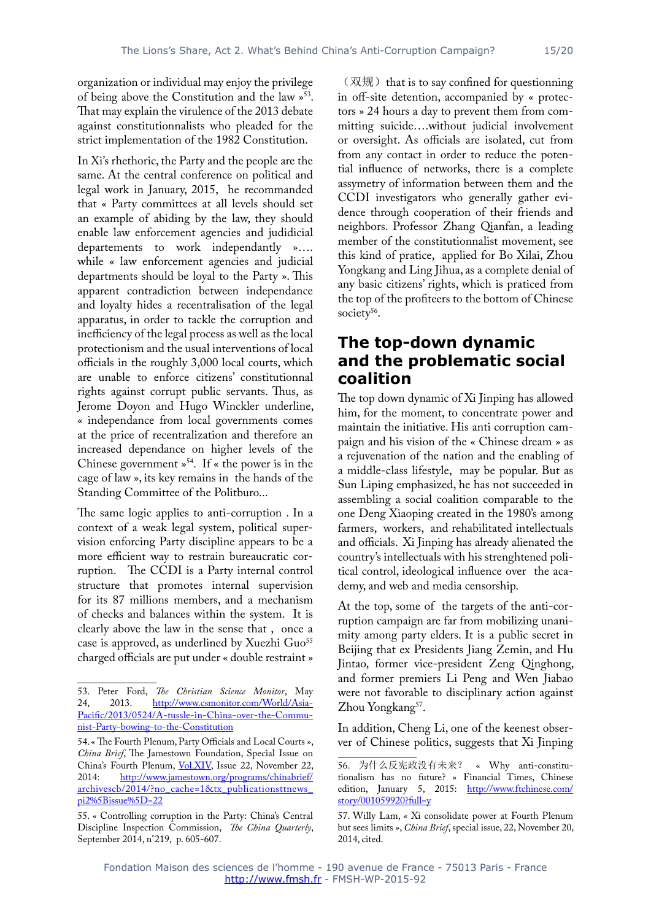organization or individual may enjoy the privilege of being above the Constitution and the law »53. That may explain the virulence of the 2013 debate against constitutionnalists who pleaded for the strict implementation of the 1982 Constitution.

In Xi's rhethoric, the Party and the people are the same. At the central conference on political and legal work in January, 2015, he recommanded that « Party committees at all levels should set an example of abiding by the law, they should enable law enforcement agencies and judidicial departements to work independantly »…. while « law enforcement agencies and judicial departments should be loyal to the Party ». This apparent contradiction between independance and loyalty hides a recentralisation of the legal apparatus, in order to tackle the corruption and inefficiency of the legal process as well as the local protectionism and the usual interventions of local officials in the roughly 3,000 local courts, which are unable to enforce citizens' constitutionnal rights against corrupt public servants. Thus, as Jerome Doyon and Hugo Winckler underline, « independance from local governments comes at the price of recentralization and therefore an increased dependance on higher levels of the Chinese government »54. If « the power is in the cage of law », its key remains in the hands of the Standing Committee of the Politburo...

The same logic applies to anti-corruption . In a context of a weak legal system, political supervision enforcing Party discipline appears to be a more efficient way to restrain bureaucratic corruption. The CCDI is a Party internal control structure that promotes internal supervision for its 87 millions members, and a mechanism of checks and balances within the system. It is clearly above the law in the sense that , once a case is approved, as underlined by Xuezhi Guo<sup>55</sup> charged officials are put under « double restraint »

 $(\nabla \mathbf{X})$  that is to say confined for questionning in off-site detention, accompanied by « protectors » 24 hours a day to prevent them from committing suicide….without judicial involvement or oversight. As officials are isolated, cut from from any contact in order to reduce the potential influence of networks, there is a complete assymetry of information between them and the CCDI investigators who generally gather evidence through cooperation of their friends and neighbors. Professor Zhang Qianfan, a leading member of the constitutionnalist movement, see this kind of pratice, applied for Bo Xilai, Zhou Yongkang and Ling Jihua, as a complete denial of any basic citizens' rights, which is praticed from the top of the profiteers to the bottom of Chinese society<sup>56</sup>.

#### **The top-down dynamic and the problematic social coalition**

The top down dynamic of Xi Jinping has allowed him, for the moment, to concentrate power and maintain the initiative. His anti corruption campaign and his vision of the « Chinese dream » as a rejuvenation of the nation and the enabling of a middle-class lifestyle, may be popular. But as Sun Liping emphasized, he has not succeeded in assembling a social coalition comparable to the one Deng Xiaoping created in the 1980's among farmers, workers, and rehabilitated intellectuals and officials. Xi Jinping has already alienated the country's intellectuals with his strenghtened political control, ideological influence over the academy, and web and media censorship.

At the top, some of the targets of the anti-corruption campaign are far from mobilizing unanimity among party elders. It is a public secret in Beijing that ex Presidents Jiang Zemin, and Hu Jintao, former vice-president Zeng Qinghong, and former premiers Li Peng and Wen Jiabao were not favorable to disciplinary action against Zhou Yongkang<sup>57</sup>.

In addition, Cheng Li, one of the keenest observer of Chinese politics, suggests that Xi Jinping

<sup>53.</sup> Peter Ford, *The Christian Science Monitor*, May [http://www.csmonitor.com/World/Asia-](http://www.csmonitor.com/World/Asia-Pacific/2013/0524/A-tussle-in-China-over-the-Communist-Party-bowing-to-the-Constitution)[Pacific/2013/0524/A-tussle-in-China-over-the-Commu](http://www.csmonitor.com/World/Asia-Pacific/2013/0524/A-tussle-in-China-over-the-Communist-Party-bowing-to-the-Constitution)[nist-Party-bowing-to-the-Constitution](http://www.csmonitor.com/World/Asia-Pacific/2013/0524/A-tussle-in-China-over-the-Communist-Party-bowing-to-the-Constitution)

<sup>54. «</sup> The Fourth Plenum, Party Officials and Local Courts », *China Brief*, The Jamestown Foundation, Special Issue on China's Fourth Plenum, <Vol.XIV>, Issue 22, November 22, 2014: [http://www.jamestown.org/programs/chinabrief/](http://www.jamestown.org/programs/chinabrief/archivescb/2014/?no_cache=1&tx_publicationsttnews_pi2%5Bissue%5D=22) [archivescb/2014/?no\\_cache=1&tx\\_publicationsttnews\\_](http://www.jamestown.org/programs/chinabrief/archivescb/2014/?no_cache=1&tx_publicationsttnews_pi2%5Bissue%5D=22) [pi2%5Bissue%5D=22](http://www.jamestown.org/programs/chinabrief/archivescb/2014/?no_cache=1&tx_publicationsttnews_pi2%5Bissue%5D=22)

<sup>55. «</sup> Controlling corruption in the Party: China's Central Discipline Inspection Commission, *The China Quarterly*, September 2014, n°219, p. 605-607.

<sup>56.</sup> 为什么反宪政没有未来? « Why anti-constitutionalism has no future? » Financial Times, Chinese edition, January 5, 2015: [http://www.ftchinese.com/](http://www.ftchinese.com/story/001059920?full=y) [story/001059920?full=y](http://www.ftchinese.com/story/001059920?full=y)

<sup>57.</sup> Willy Lam, « Xi consolidate power at Fourth Plenum but sees limits », *China Brief*, special issue, 22, November 20, 2014, cited.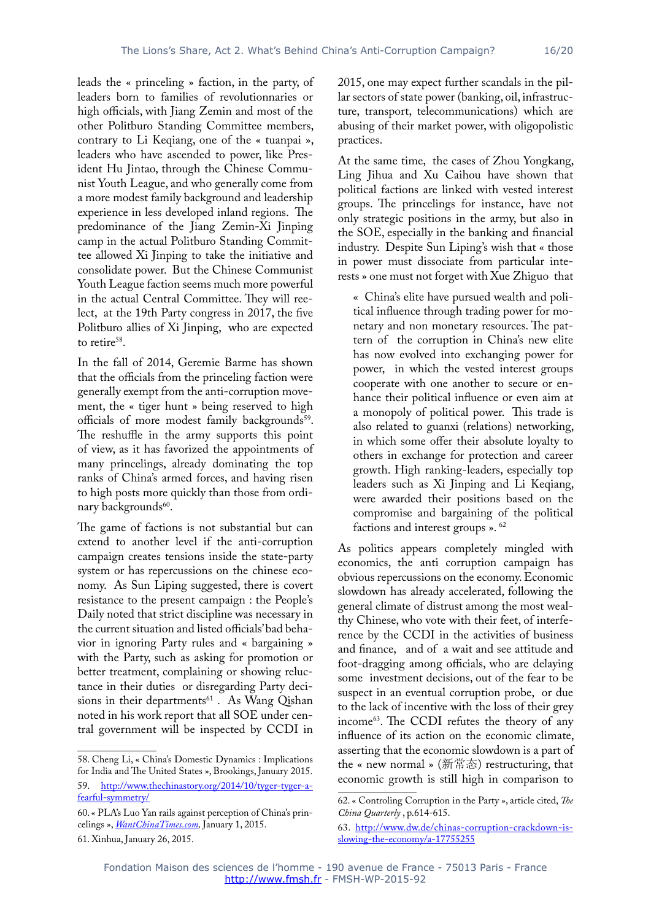leads the « princeling » faction, in the party, of leaders born to families of revolutionnaries or high officials, with Jiang Zemin and most of the other Politburo Standing Committee members, contrary to Li Keqiang, one of the « tuanpai », leaders who have ascended to power, like President Hu Jintao, through the Chinese Communist Youth League, and who generally come from a more modest family background and leadership experience in less developed inland regions. The predominance of the Jiang Zemin-Xi Jinping camp in the actual Politburo Standing Committee allowed Xi Jinping to take the initiative and consolidate power. But the Chinese Communist Youth League faction seems much more powerful in the actual Central Committee. They will reelect, at the 19th Party congress in 2017, the five Politburo allies of Xi Jinping, who are expected to retire<sup>58</sup>.

In the fall of 2014, Geremie Barme has shown that the officials from the princeling faction were generally exempt from the anti-corruption movement, the « tiger hunt » being reserved to high officials of more modest family backgrounds<sup>59</sup>. The reshuffle in the army supports this point of view, as it has favorized the appointments of many princelings, already dominating the top ranks of China's armed forces, and having risen to high posts more quickly than those from ordinary backgrounds<sup>60</sup>.

The game of factions is not substantial but can extend to another level if the anti-corruption campaign creates tensions inside the state-party system or has repercussions on the chinese economy. As Sun Liping suggested, there is covert resistance to the present campaign : the People's Daily noted that strict discipline was necessary in the current situation and listed officials' bad behavior in ignoring Party rules and « bargaining » with the Party, such as asking for promotion or better treatment, complaining or showing reluctance in their duties or disregarding Party decisions in their departments<sup>61</sup>. As Wang Qishan noted in his work report that all SOE under central government will be inspected by CCDI in

2015, one may expect further scandals in the pillar sectors of state power (banking, oil, infrastructure, transport, telecommunications) which are abusing of their market power, with oligopolistic practices.

At the same time, the cases of Zhou Yongkang, Ling Jihua and Xu Caihou have shown that political factions are linked with vested interest groups. The princelings for instance, have not only strategic positions in the army, but also in the SOE, especially in the banking and financial industry. Despite Sun Liping's wish that « those in power must dissociate from particular interests » one must not forget with Xue Zhiguo that

« China's elite have pursued wealth and political influence through trading power for monetary and non monetary resources. The pattern of the corruption in China's new elite has now evolved into exchanging power for power, in which the vested interest groups cooperate with one another to secure or enhance their political influence or even aim at a monopoly of political power. This trade is also related to guanxi (relations) networking, in which some offer their absolute loyalty to others in exchange for protection and career growth. High ranking-leaders, especially top leaders such as Xi Jinping and Li Keqiang, were awarded their positions based on the compromise and bargaining of the political factions and interest groups ». 62

As politics appears completely mingled with economics, the anti corruption campaign has obvious repercussions on the economy. Economic slowdown has already accelerated, following the general climate of distrust among the most wealthy Chinese, who vote with their feet, of interference by the CCDI in the activities of business and finance, and of a wait and see attitude and foot-dragging among officials, who are delaying some investment decisions, out of the fear to be suspect in an eventual corruption probe, or due to the lack of incentive with the loss of their grey income<sup>63</sup>. The CCDI refutes the theory of any influence of its action on the economic climate, asserting that the economic slowdown is a part of the « new normal » (新常态) restructuring, that economic growth is still high in comparison to

<sup>58.</sup> Cheng Li, « China's Domestic Dynamics : Implications for India and The United States », Brookings, January 2015.

<sup>59.</sup> [http://www.thechinastory.org/2014/10/tyger-tyger-a](http://www.thechinastory.org/2014/10/tyger-tyger-a-fearful-symmetry/)[fearful-symmetry/](http://www.thechinastory.org/2014/10/tyger-tyger-a-fearful-symmetry/)

<sup>60. «</sup> PLA's Luo Yan rails against perception of China's princelings », *[WantChinaTimes.com,](WantChinaTimes.com)* January 1, 2015.

<sup>61.</sup> Xinhua, January 26, 2015.

<sup>62. «</sup> Controling Corruption in the Party », article cited, *The China Quarterly* , p.614-615.

<sup>63.</sup> [http://www.dw.de/chinas-corruption-crackdown-is](http://www.dw.de/chinas-corruption-crackdown-is-slowing-the-economy/a-17755255)[slowing-the-economy/a-17755255](http://www.dw.de/chinas-corruption-crackdown-is-slowing-the-economy/a-17755255)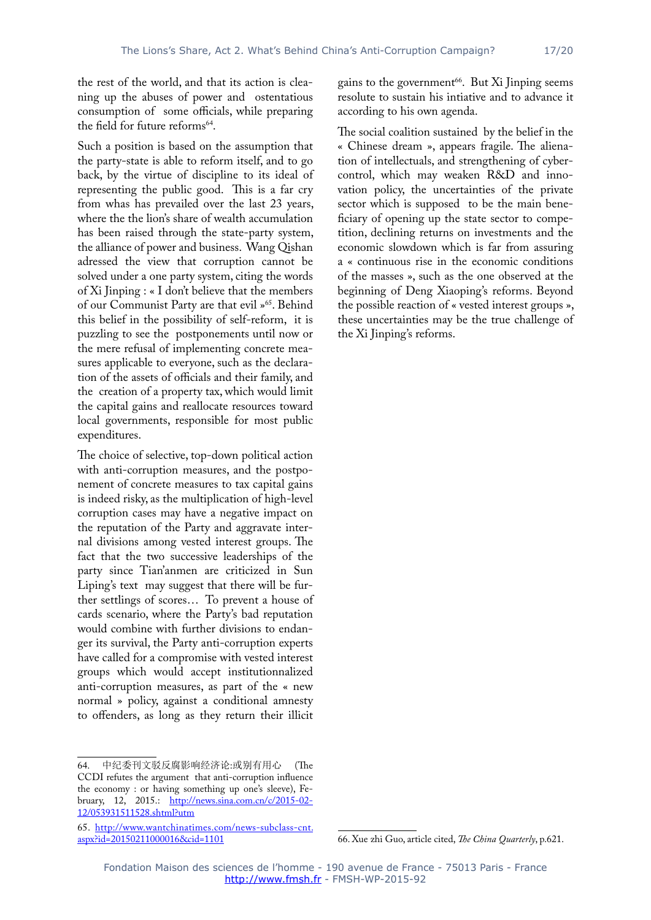the rest of the world, and that its action is cleaning up the abuses of power and ostentatious consumption of some officials, while preparing the field for future reforms<sup>64</sup>.

Such a position is based on the assumption that the party-state is able to reform itself, and to go back, by the virtue of discipline to its ideal of representing the public good. This is a far cry from whas has prevailed over the last 23 years, where the the lion's share of wealth accumulation has been raised through the state-party system, the alliance of power and business. Wang Qishan adressed the view that corruption cannot be solved under a one party system, citing the words of Xi Jinping : « I don't believe that the members of our Communist Party are that evil »65. Behind this belief in the possibility of self-reform, it is puzzling to see the postponements until now or the mere refusal of implementing concrete measures applicable to everyone, such as the declaration of the assets of officials and their family, and the creation of a property tax, which would limit the capital gains and reallocate resources toward local governments, responsible for most public expenditures.

The choice of selective, top-down political action with anti-corruption measures, and the postponement of concrete measures to tax capital gains is indeed risky, as the multiplication of high-level corruption cases may have a negative impact on the reputation of the Party and aggravate internal divisions among vested interest groups. The fact that the two successive leaderships of the party since Tian'anmen are criticized in Sun Liping's text may suggest that there will be further settlings of scores… To prevent a house of cards scenario, where the Party's bad reputation would combine with further divisions to endanger its survival, the Party anti-corruption experts have called for a compromise with vested interest groups which would accept institutionnalized anti-corruption measures, as part of the « new normal » policy, against a conditional amnesty to offenders, as long as they return their illicit

64. 中纪委刊文驳反腐影响经济论:或别有用心 (The CCDI refutes the argument that anti-corruption influence the economy : or having something up one's sleeve), February, 12, 2015.: [http://news.sina.com.cn/c/2015-02-](http://news.sina.com.cn/c/2015-02-12/053931511528.shtml?utm) [12/053931511528.shtml?utm](http://news.sina.com.cn/c/2015-02-12/053931511528.shtml?utm)

gains to the government<sup>66</sup>. But Xi Jinping seems resolute to sustain his intiative and to advance it according to his own agenda.

The social coalition sustained by the belief in the « Chinese dream », appears fragile. The alienation of intellectuals, and strengthening of cybercontrol, which may weaken R&D and innovation policy, the uncertainties of the private sector which is supposed to be the main beneficiary of opening up the state sector to competition, declining returns on investments and the economic slowdown which is far from assuring a « continuous rise in the economic conditions of the masses », such as the one observed at the beginning of Deng Xiaoping's reforms. Beyond the possible reaction of « vested interest groups », these uncertainties may be the true challenge of the Xi Jinping's reforms.

<sup>65.</sup> [http://www.wantchinatimes.com/news-subclass-cnt.](http://www.wantchinatimes.com/news-subclass-cnt.aspx?id=20150211000016&cid=1101) [aspx?id=20150211000016&cid=1101](http://www.wantchinatimes.com/news-subclass-cnt.aspx?id=20150211000016&cid=1101)

<sup>66.</sup> Xue zhi Guo, article cited, *The China Quarterly*, p.621.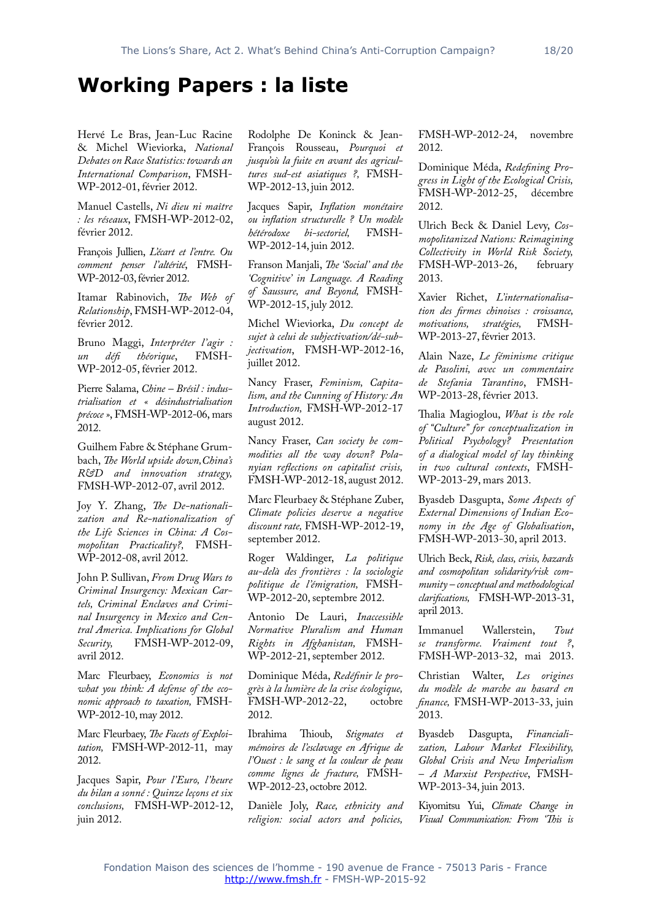## **Working Papers : la liste**

Hervé Le Bras, Jean-Luc Racine & Michel Wieviorka, *National Debates on Race Statistics: towards an International Comparison*, FMSH-WP-2012-01, février 2012.

Manuel Castells, *Ni dieu ni maître : les réseaux*, FMSH-WP-2012-02, février 2012.

François Jullien, *L'écart et l'entre. Ou comment penser l'altérité*, FMSH-WP-2012-03, février 2012.

Itamar Rabinovich, *The Web of Relationship*, FMSH-WP-2012-04, février 2012.

Bruno Maggi, *Interpréter l'agir : un défi théorique*, FMSH-WP-2012-05, février 2012.

Pierre Salama, *Chine – Brésil : industrialisation et « désindustrialisation précoce »*, FMSH-WP-2012-06, mars 2012.

Guilhem Fabre & Stéphane Grumbach, *The World upside down,China's R&D and innovation strategy,* FMSH-WP-2012-07, avril 2012.

Joy Y. Zhang, *The De-nationalization and Re-nationalization of the Life Sciences in China: A Cosmopolitan Practicality?,* FMSH-WP-2012-08, avril 2012.

John P. Sullivan, *From Drug Wars to Criminal Insurgency: Mexican Cartels, Criminal Enclaves and Criminal Insurgency in Mexico and Central America. Implications for Global Security,* FMSH-WP-2012-09, avril 2012.

Marc Fleurbaey, *Economics is not what you think: A defense of the economic approach to taxation,* FMSH-WP-2012-10, may 2012.

Marc Fleurbaey, *The Facets of Exploitation,* FMSH-WP-2012-11, may 2012.

Jacques Sapir, *Pour l'Euro, l'heure du bilan a sonné : Quinze leçons et six conclusions,* FMSH-WP-2012-12, juin 2012.

Rodolphe De Koninck & Jean-François Rousseau, *Pourquoi et jusqu'où la fuite en avant des agricultures sud-est asiatiques ?,* FMSH-WP-2012-13, juin 2012.

Jacques Sapir, *Inflation monétaire ou inflation structurelle ? Un modèle*   $h$ étérodoxe bi-sectoriel, WP-2012-14, juin 2012.

Franson Manjali, *The 'Social' and the 'Cognitive' in Language. A Reading of Saussure, and Beyond,* FMSH-WP-2012-15, july 2012.

Michel Wieviorka, *Du concept de sujet à celui de subjectivation/dé-subjectivation*, FMSH-WP-2012-16, juillet 2012.

Nancy Fraser, *Feminism, Capitalism, and the Cunning of History: An Introduction,* FMSH-WP-2012-17 august 2012.

Nancy Fraser, *Can society be commodities all the way down? Polanyian reflections on capitalist crisis,* FMSH-WP-2012-18, august 2012.

Marc Fleurbaey & Stéphane Zuber, *Climate policies deserve a negative discount rate,* FMSH-WP-2012-19, september 2012.

Roger Waldinger, *La politique au-delà des frontières : la sociologie politique de l'émigration,* FMSH-WP-2012-20, septembre 2012.

Antonio De Lauri, *Inaccessible Normative Pluralism and Human Rights in Afghanistan,* FMSH-WP-2012-21, september 2012.

Dominique Méda, *Redéfinir le progrès à la lumière de la crise écologique,* FMSH-WP-2012-22, octobre 2012.

Ibrahima Thioub, *Stigmates et mémoires de l'esclavage en Afrique de l'Ouest : le sang et la couleur de peau comme lignes de fracture,* FMSH-WP-2012-23, octobre 2012.

Danièle Joly, *Race, ethnicity and religion: social actors and policies,*

FMSH-WP-2012-24, novembre 2012.

Dominique Méda, *Redefining Progress in Light of the Ecological Crisis,* FMSH-WP-2012-25, décembre 2012.

Ulrich Beck & Daniel Levy, *Cosmopolitanized Nations: Reimagining Collectivity in World Risk Society,* FMSH-WP-2013-26, february 2013.

Xavier Richet, *L'internationalisation des firmes chinoises : croissance, motivations, stratégies,* FMSH-WP-2013-27, février 2013.

Alain Naze, *Le féminisme critique de Pasolini, avec un commentaire de Stefania Tarantino*, FMSH-WP-2013-28, février 2013.

Thalia Magioglou, *What is the role of "Culture" for conceptualization in Political Psychology? Presentation of a dialogical model of lay thinking in two cultural contexts*, FMSH-WP-2013-29, mars 2013.

Byasdeb Dasgupta, *Some Aspects of External Dimensions of Indian Economy in the Age of Globalisation*, FMSH-WP-2013-30, april 2013.

Ulrich Beck, *Risk, class, crisis, hazards and cosmopolitan solidarity/risk community – conceptual and methodological clarifications,* FMSH-WP-2013-31, april 2013.

Immanuel Wallerstein, *Tout se transforme. Vraiment tout ?*, FMSH-WP-2013-32, mai 2013.

Christian Walter, *Les origines du modèle de marche au hasard en finance,* FMSH-WP-2013-33, juin 2013.

Byasdeb Dasgupta, *Financialization, Labour Market Flexibility, Global Crisis and New Imperialism – A Marxist Perspective*, FMSH-WP-2013-34, juin 2013.

Kiyomitsu Yui, *Climate Change in Visual Communication: From 'This is*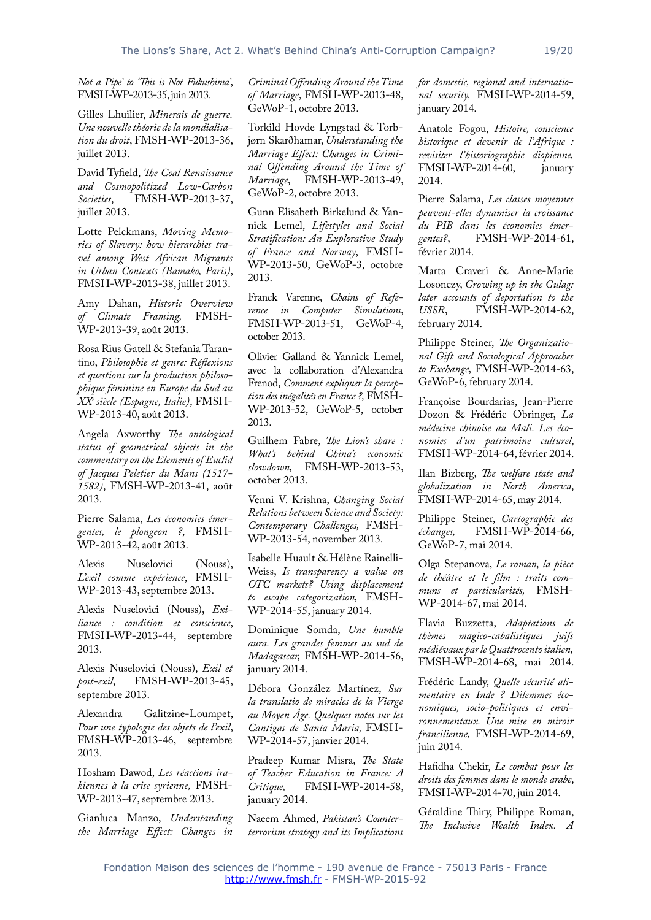*Not a Pipe' to 'This is Not Fukushima'*, FMSH-WP-2013-35, juin 2013.

Gilles Lhuilier, *Minerais de guerre. Une nouvelle théorie de la mondialisation du droit*, FMSH-WP-2013-36, juillet 2013.

David Tyfield, *The Coal Renaissance and Cosmopolitized Low-Carbon Societies*, FMSH-WP-2013-37, juillet 2013.

Lotte Pelckmans, *Moving Memories of Slavery: how hierarchies travel among West African Migrants in Urban Contexts (Bamako, Paris)*, FMSH-WP-2013-38, juillet 2013.

Amy Dahan, *Historic Overview of Climate Framing,* WP-2013-39, août 2013.

Rosa Rius Gatell & Stefania Tarantino, *Philosophie et genre: Réflexions et questions sur la production philosophique féminine en Europe du Sud au XXe siècle (Espagne, Italie)*, FMSH-WP-2013-40, août 2013.

Angela Axworthy *The ontological status of geometrical objects in the commentary on the Elements of Euclid of Jacques Peletier du Mans (1517- 1582)*, FMSH-WP-2013-41, août 2013.

Pierre Salama, *Les économies émergentes, le plongeon ?*, FMSH-WP-2013-42, août 2013.

Alexis Nuselovici (Nouss), *L'exil comme expérience*, FMSH-WP-2013-43, septembre 2013.

Alexis Nuselovici (Nouss), *Exiliance : condition et conscience*, FMSH-WP-2013-44, septembre 2013.

Alexis Nuselovici (Nouss), *Exil et post-exil*, FMSH-WP-2013-45, septembre 2013.

Alexandra Galitzine-Loumpet, *Pour une typologie des objets de l'exil*, FMSH-WP-2013-46, septembre 2013.

Hosham Dawod, *Les réactions irakiennes à la crise syrienne,* FMSH-WP-2013-47, septembre 2013.

Gianluca Manzo, *Understanding the Marriage Effect: Changes in* 

*Criminal Offending Around the Time of Marriage*, FMSH-WP-2013-48, GeWoP-1, octobre 2013.

Torkild Hovde Lyngstad & Torbjørn Skarðhamar, *Understanding the Marriage Effect: Changes in Criminal Offending Around the Time of Marriage*, FMSH-WP-2013-49, GeWoP-2, octobre 2013.

Gunn Elisabeth Birkelund & Yannick Lemel, *Lifestyles and Social Stratification: An Explorative Study of France and Norway*, FMSH-WP-2013-50, GeWoP-3, octobre 2013.

Franck Varenne, *Chains of Reference in Computer Simulations*, FMSH-WP-2013-51, GeWoP-4, october 2013.

Olivier Galland & Yannick Lemel, avec la collaboration d'Alexandra Frenod, *Comment expliquer la perception des inégalités en France ?,* FMSH-WP-2013-52, GeWoP-5, october 2013.

Guilhem Fabre, *The Lion's share : What's behind China's economic slowdown,* FMSH-WP-2013-53, october 2013.

Venni V. Krishna, *Changing Social Relations between Science and Society: Contemporary Challenges,* FMSH-WP-2013-54, november 2013.

Isabelle Huault & Hélène Rainelli-Weiss, *Is transparency a value on OTC markets? Using displacement to escape categorization,* FMSH-WP-2014-55, january 2014.

Dominique Somda, *Une humble aura. Les grandes femmes au sud de Madagascar,* FMSH-WP-2014-56, january 2014.

Débora González Martínez, *Sur la translatio de miracles de la Vierge au Moyen Âge. Quelques notes sur les Cantigas de Santa Maria,* FMSH-WP-2014-57, janvier 2014.

Pradeep Kumar Misra, *The State of Teacher Education in France: A Critique,* FMSH-WP-2014-58, january 2014.

Naeem Ahmed, *Pakistan's Counterterrorism strategy and its Implications*  *for domestic, regional and international security,* FMSH-WP-2014-59, january 2014.

Anatole Fogou, *Histoire, conscience historique et devenir de l'Afrique : revisiter l'historiographie diopienne,*  FMSH-WP-2014-60, january 2014.

Pierre Salama, *Les classes moyennes peuvent-elles dynamiser la croissance du PIB dans les économies émergentes?*, FMSH-WP-2014-61, février 2014.

Marta Craveri & Anne-Marie Losonczy, *Growing up in the Gulag: later accounts of deportation to the USSR*, FMSH-WP-2014-62, february 2014.

Philippe Steiner, *The Organizational Gift and Sociological Approaches to Exchange,* FMSH-WP-2014-63, GeWoP-6, february 2014.

Françoise Bourdarias, Jean-Pierre Dozon & Frédéric Obringer, *La médecine chinoise au Mali. Les économies d'un patrimoine culturel*, FMSH-WP-2014-64, février 2014.

Ilan Bizberg, *The welfare state and globalization in North America*, FMSH-WP-2014-65, may 2014.

Philippe Steiner, *Cartographie des échanges,* FMSH-WP-2014-66, GeWoP-7, mai 2014.

Olga Stepanova, *Le roman, la pièce de théâtre et le film : traits communs et particularités,* FMSH-WP-2014-67, mai 2014.

Flavia Buzzetta, *Adaptations de thèmes magico-cabalistiques juifs médiévaux par le Quattrocento italien,* FMSH-WP-2014-68, mai 2014.

Frédéric Landy, *Quelle sécurité alimentaire en Inde ? Dilemmes économiques, socio-politiques et environnementaux. Une mise en miroir francilienne,* FMSH-WP-2014-69, juin 2014.

Hafidha Chekir, *Le combat pour les droits des femmes dans le monde arabe*, FMSH-WP-2014-70, juin 2014.

Géraldine Thiry, Philippe Roman, *The Inclusive Wealth Index. A*